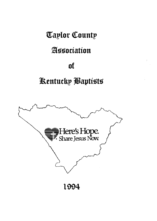# **Taylor County**

# Association

# of

# Kentucky Baptists

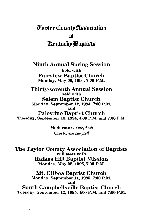# **Taplor County Association** of **Rentucky Bantists**

**Ninth Annual Spring Session** held with **Fairview Baptist Church** Monday, May 09, 1994, 7:00 P.M.

**Thirty-seventh Annual Session** held with **Salem Baptist Church** Monday, September 12, 1994, 7:00 P.M. and **Palestine Baptist Church** 

Tuesday, September 13, 1994, 4:00 P.M. and 7:00 P.M.

Moderator, Larry Koch Clerk, *Iim Campbell* 

The Taylor County Association of Baptists will meet with **Raikes Hill Baptist Mission** Monday, May 08, 1995, 7:00 P.M.

Mt. Gilboa Baptist Church Monday, September 11, 1995, 7:00 P.M. and South Campbellsville Baptist Church

Tuesday, September 12, 1995, 4:00 P.M. and 7:00 P.M.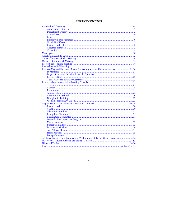## **TABLE OF CONTENTS**

| Reports (Map and Executive Board/Association Meeting Calendar Inserted)  21-36  |
|---------------------------------------------------------------------------------|
|                                                                                 |
|                                                                                 |
|                                                                                 |
|                                                                                 |
|                                                                                 |
|                                                                                 |
|                                                                                 |
|                                                                                 |
|                                                                                 |
|                                                                                 |
|                                                                                 |
|                                                                                 |
|                                                                                 |
|                                                                                 |
|                                                                                 |
|                                                                                 |
|                                                                                 |
|                                                                                 |
|                                                                                 |
|                                                                                 |
|                                                                                 |
|                                                                                 |
|                                                                                 |
|                                                                                 |
|                                                                                 |
| A Glance Back in Time (Summary of 1958 Minutes of Taylor County Association) 36 |
|                                                                                 |
|                                                                                 |
|                                                                                 |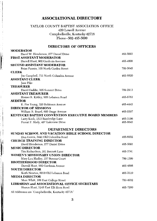# **ASSOCIATIONAL DIRECTORY**

# TAYLOR COUNTY BAPTIST ASSOCIATION OFFICE 420 Lowell Avenue Campbellsville, Kentucky 42718<br>Phone--502-465-5600

# **DIRECTORY OF OFFICERS**

**DEDAT** 

| MUDERAIUR                                               |          |
|---------------------------------------------------------|----------|
| David W. Henderson, 277 Daniel Drive                    | 465-5093 |
| <b>FIRST ASSISTANT MODERATOR</b>                        |          |
| Darrell Hunt, 902 Gardenia Avenues                      | 465-4808 |
| <b>SECOND ASSISTANT MODERATOR</b>                       |          |
| Brian Fannin, 103 North Carden Street                   | 789-3645 |
| <b>CLERK</b>                                            |          |
| Jim Campbell, 711 North Columbia Avenue                 | 465-8820 |
| <b>ASSISTANT CLERK</b>                                  |          |
| Jane Pike                                               |          |
| <b>TREASURER</b>                                        |          |
| David Gaddie, 305 Summit Drive                          | 789-2913 |
| <b>ASSISTANT TREASURER</b>                              |          |
| Homer R. Kirtley, 905 Lebanon Road                      | 465-5763 |
| <b>AUDITOR</b>                                          |          |
| E. Poe Young, 320 Robinson Avenue                       | 465-4443 |
| <b>DIRECTOR OF MISSIONS</b>                             |          |
| William R. Beard, 605 Osage Avenue                      | 465-2297 |
| KENTUCKY BAPTIST CONVENTION EXECUTIVE BOARD MEMBERS     |          |
| Larry Koch, 1313 Bambridge Lane                         | 465-3106 |
| Forest F. Shely, 407 Lakeview Drive                     | 465-8643 |
| <b>DEPARTMENT DIRECTORS</b>                             |          |
| <b>SUNDAY SCHOOL AND VACATION BIBLE SCHOOL DIRECTOR</b> |          |
| Don Gowin, 3441 Old Columbia Road                       | 465-6032 |
| <b>CHURCH TRAINING DIRECTOR</b>                         |          |
| David Henderson, 277 Daniel Drive                       | 465-5093 |
| <b>MUSIC DIRECTOR</b>                                   |          |
| Tim Richardson, 101 Bennett Lane                        | 465-3741 |
| WOMEN'S MISSIONARY UNION DIRECTOR                       |          |
| Mary Lou Hadley, 157 Stevens Court                      | 789-1399 |
| <b>BROTHERHOOD DIRECTOR</b>                             |          |
| Darrell Hunt, 902 Gardenia Avenue                       | 465-4808 |
| <b>YOUTH DIRECTOR</b>                                   |          |
| Keith Newton, 6010 Old Lebanon Road                     | 465-3310 |
| <b>MEDIA DIRECTOR</b>                                   |          |
| Marc Whitt, 109 East College Street                     | 789-4932 |
| <b>LIBRARIAN and ASSOCIATIONAL OFFICE SECRETARY</b>     |          |
| Sharon Hunt, 3145 East Elk Horn Road                    | 465-7260 |
| All Addresses are "Campbellsville, Kentucky 42718."     |          |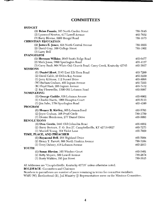# **COMMITTEES**

| <b>BUDCET</b>                                                           |          |
|-------------------------------------------------------------------------|----------|
| (1) Brian Fannin, 103 North Carden Street                               | 789-3645 |
| (2) Lynwood Newton, 417 Lowell Avenue                                   | 465-7652 |
| (3) Barry Blevins, 5200 Bengal Road                                     | 789-1673 |
| <b>CHRISTIAN EDUCATION</b>                                              |          |
| (1) James E. Jones, 424 North Central Avenue                            | 789-2055 |
| (2) David Gray, 109 College Street                                      | 789-1802 |
| $(3)$ Larry Bell                                                        |          |
| <b>EVANGELISM</b>                                                       |          |
| (1) Herman Wilkins, 2645 Smith Ridge Road                               | 465-6477 |
| (2) Mark Jones, 3890 Spurlington Road                                   | 465-4127 |
| (3) Garry Bault, 904 White Oak Church Road, Casey Creek, Kentucky 42743 | 465-3927 |
| <b>MISSIONS</b>                                                         |          |
| (1) Daniel Hunt, 3145 East Elk Horn Road                                | 465-7260 |
| (2) David Cable, 29 Debra Kay Avenue                                    | 465-2250 |
| (3) Jerry Kibbons, 112 Sunset Drive                                     | 465-8098 |
| (W) Barbara Graham, 405 Ingram Avenue                                   | 465-7255 |
| (B) Floyd Hash, 205 Ingram Avenue                                       | 465-7412 |
| (J) Ray Flewwellin, 1398 Old Lebanon Road                               | 465-5097 |
| <b>NOMINATING</b>                                                       |          |
| (1) George Gaddie, 636 Lebanon Avenue                                   | 465-6002 |
| (2) Charles Harris, 1002 Hampton Court                                  | 465-5113 |
| (3) Jim Sabo, 1784 Spurlington Road                                     | 465-4100 |
| <b>PROGRAM</b>                                                          |          |
| (1) Homer R. Kirtley, 905 Lebanon Road                                  | 465-5763 |
| (2) Joyce Graham, 106 Pearl Circle                                      | 789-1750 |
| (3) Denise Henderson, 277 Daniel Drive                                  | 465-5093 |
| <b>RESOLUTIONS</b>                                                      |          |
| (1) Don Gowin, 3441 Old Columbia Road                                   | 465-6032 |
| (2) Barry Bertram, P. O. Box 27, Campbellsville, KY 42719-0027          | 465-7273 |
| (3) Murrell Young, 104 Violet Lane                                      | 465-7929 |
| TIME, PLACE, AND PREACHER                                               |          |
| (1) Raymond Bell, 268 Highland Drive                                    | 465-5904 |
| (2) Henry T. Parrott, 808 North Hoskins Avenue                          | 789-3104 |
| (3) Terry Dabney, 418 Lebanon Avenue                                    | 465-2933 |
| YOUTH                                                                   |          |
| (1) Susan Blevins, 103 Windsor Court                                    | 465-5401 |
| (2) Betty Moyers, 509 Lowell Avenue                                     | 789-2674 |
| (3) Rusty Watkins, 195 Jan Street                                       | 789-3615 |
|                                                                         |          |

All Addresses are "Campbellsville, Kentucky 42718" unless otherwise noted.

**BOLDFACE**--Committees and Chairmen

—

Numbers in parentheses are number of years remaining in terms for committee members.<br>WMU (W), Brotherhood (B), Jail Ministry (J) Representatives serve on the Missions Committee.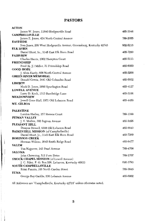# **PASTORS**

 $\sim$ mosi

| AUIUN                                                                                  |          |
|----------------------------------------------------------------------------------------|----------|
| James W. Jones, 11840 Hodgenville Road                                                 | 465-3548 |
| <b>CAMPBELLSVILLE</b>                                                                  |          |
| James E. Jones, 424 North Central Avenue                                               | 789-2055 |
| <b>EASTSIDE</b>                                                                        |          |
| Ivan Jones, 209 West Hodgenville Avenue, Greensburg, Kentucky 42743<br><b>ELK HORN</b> | 932-5216 |
| Daniel Hunt, Sr., 3145 East Elk Horn Road                                              | 465-7260 |
| <b>FAIRVIEW</b>                                                                        |          |
| Charles Harris, 1002 Hampton Court                                                     | 465-5113 |
| <b>FRIENDSHIP</b>                                                                      |          |
| Fred (K. J.) Miller, 31 Friendship Road                                                | 465-6050 |
| <b>GOOD HOPE</b>                                                                       | 465-3268 |
| J. Alvin Hardy, 608 North Central Avenue<br><b>GREEN RIVER MEMORIAL</b>                |          |
| Donald Gowin, 3441 Old Columbia Road                                                   | 465-6032 |
| LIBERTY                                                                                |          |
| Mark D. Jones, 3890 Spurlington Road                                                   | 465-4127 |
| <b>LOWELL AVENUE</b>                                                                   |          |
| Larry D. Koch, 1313 Bambridge Lane                                                     | 465-3106 |
| <b>MEADOWVIEW</b>                                                                      |          |
| Jewell Gene Hall, 1971 Old Lebanon Road<br>MT. GILBOA                                  | 465-4459 |
|                                                                                        |          |
| <b>PALESTINE</b>                                                                       |          |
| Landon Hadley, 157 Stevens Court                                                       | 789-1399 |
| PITMAN VALLEY                                                                          |          |
| J. V. Mullen, 303 Ingram Avenue<br>PLEASANT HILL                                       | 465-2495 |
| Dwayne Howell, 6398 Old Lebanon Road                                                   | 465-6643 |
| <b>RAIKES HILL MISSION</b> (of Campbellsville)                                         |          |
| Daniel Hunt, Jr., 3145 East Elk Horn Road                                              | 465-7260 |
| <b>ROBINSON CREEK</b>                                                                  |          |
| Herman Wilkins, 2645 Smith Ridge Road                                                  | 465-6477 |
| SALEM                                                                                  |          |
| Tim Najpaver, 143 Pearl Avenue<br><b>SALOMA</b>                                        | 789-4708 |
| John Chowning, 512 Fern Drive                                                          | 789-2707 |
| <b>SMOCK CHAPEL MISSION</b> (of Lowell Avenue)                                         |          |
| J. C. Riley, P. O. Box 556, Lebanon, Kentucky 40033                                    | 692-3793 |
| <b>SOUTH CAMPBELLSVILLE</b>                                                            |          |
| Brian Fannin, 103 North Carden Street                                                  | 789-3645 |
| YUMA                                                                                   |          |
| George Ray Gaddie, 636 Lebanon Avenue                                                  | 465-6002 |

All Addresses are "Campbellsville, Kentucky 42718" unless otherwise noted.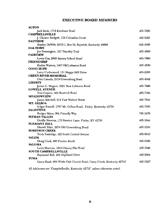# **EXECUTIVE BOARD MEMBERS**

| <b>ACTON</b>                                                        |          |
|---------------------------------------------------------------------|----------|
| Jack Beck, 1715 Kindness Road                                       | 465-7856 |
| <b>CAMPBELLSVILLE</b>                                               |          |
| J. Chester Badgett, 112 Columbia Court                              | 465-5023 |
| <b>EASTSIDE</b>                                                     |          |
| Stanley DeWitt, RFD 1, Box 32, Raywick, Kentucky 40060              | 692-2608 |
| <b>ELK HORN</b>                                                     |          |
| Joe Pennington, 127 Timothy Trail                                   | 465-4560 |
| <b>FAIRVIEW</b>                                                     |          |
| Lewis Cox, 2868 Barney School Road                                  | 465-7869 |
| <b>FRIENDSHIP</b>                                                   |          |
| Harlan Warren, 1467 Old Lebanon Road                                | 465-4530 |
| GOOD HOPE                                                           |          |
| Larry Underwood, 131 Happy Hill Drive                               | 465-2293 |
| <b>GREEN RIVER MEMORIAL</b>                                         |          |
| Glen Canada, 2319 Greensburg Road                                   | 465-4042 |
| <b>LIBERTY</b>                                                      |          |
| James C. Magers, 3281 New Lebanon Road                              | 465-7900 |
| <b>LOWELL AVENUE</b>                                                |          |
| Tom Gupton, 484 Beartrck Road                                       | 465-7394 |
| <b>MEADOWVIEW</b>                                                   |          |
| James Mitchell, 214 East Walnut Street                              | 465-7534 |
| MT. GILBOA                                                          |          |
| Edgar Russell, 1787 Mt. Gilboa Road, Finley, Kentucky 42736         | 465-7035 |
| <b>PALESTINE</b>                                                    |          |
| Rodger Mann, 801 Friendly Way                                       | 789-2470 |
| PITMAN VALLEY                                                       |          |
| Orville Newton, 172 Newton Lane, Finley, KY 42736                   | 465-3844 |
| PLEASANT HILL                                                       |          |
| Darrell Blair, 2074 Old Greensburg Road                             | 465-3334 |
| <b>ROBINSON CREEK</b>                                               |          |
| Terry Eastridge, 422 South Central Avenue                           | 465-6815 |
| SALEM                                                               |          |
|                                                                     |          |
| Doug Clark, 806 Proctor-Knott<br><b>SALOMA</b>                      | 465-6386 |
|                                                                     |          |
| Larry Marcum, 1019 Chaney Pike Road                                 | 465-3946 |
| <b>SOUTH CAMPBELLSVILLE</b>                                         |          |
| Raymond Bell, 268 Highland Drive                                    | 465-5904 |
| YUMA                                                                |          |
| Garry Bault, 904 White Oak Church Road, Casey Creek, Kentucky 42743 | 465-3927 |
|                                                                     |          |

All Addresses are "Campbellsville, Kentucky 42718" unless otherwise noted.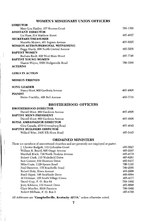## WOMEN'S MISSIONARY UNION OFFICERS

| пікесток                                  |          |
|-------------------------------------------|----------|
| Mary Lou Hadley, 157 Stevens Court        | 789-1399 |
| <b>ASSISTANT DIRECTOR</b>                 |          |
| Liz Shaw. 214 Matthew Street              | 465-4697 |
| <b>SECRETARY/TREASURER</b>                |          |
| Marietta Moyers, 401 Ingram Avenue        | 465-8505 |
| <b>MISSION ACTION/PERSONAL WITNESSING</b> |          |
| Peggy Hardy, 608 North Central Avenue     | 465-3268 |
| <b>BAPTIST WOMEN</b>                      |          |
| Barbara Bault, 828 West Main Street       | 465-7746 |
| <b>BAPTIST YOUNG WOMEN</b>                |          |
| Sharon Wayne, 6502 Hodgenville Road       | 789-1088 |
| <b>ACTEENS</b>                            |          |

#### **GIRLS IN ACTION**

 $T^{\bullet}$ 

#### **MISSION FRIENDS**

| SONG LEADER                     |          |
|---------------------------------|----------|
| Nancy Hunt, 902 Gardenia Avenue | 465-4808 |
| <b>PIANIST</b>                  |          |
| Helen Franklin, 405 Bell Avenue | 465-7719 |

## **BROTHERHOOD OFFICERS**

| <b>BROTHERHOOD DIRECTOR</b>       |          |
|-----------------------------------|----------|
| Darrell Hunt, 902 Gardenia Avenue | 465-4808 |
| <b>BAPTIST MEN'S PRESIDENT</b>    |          |
| Darrell Hunt, 902 Gardenia Avenue | 465-4808 |
| <b>ROYAL AMBASSADOR DIRECTOR</b>  |          |
| Glen Canada, 2319 Greensburg Road | 465-4042 |
| <b>BAPTIST BUILDERS DIRECTOR</b>  |          |
| Willard Wise, 3405 Elk Horn Road  | 465-5443 |
|                                   |          |

## **ORDAINED MINISTERS**

| These are members of associational churches and are presently not employed as pastor. |          |
|---------------------------------------------------------------------------------------|----------|
| J. Chester Badgett, 112 Columbia Court                                                | 465-5023 |
| William R. Beard, 605 Osage Avenue                                                    | 465-2297 |
| Marshall Black, 710 North Hoskins Avenue                                              | 465-4274 |
| Robert Clark, 115 Wakefield Drive                                                     | 465-6261 |
| Sam Conner, 619 Shawnee Drive                                                         | 465-8437 |
| Mike Crain, 1129 Spears Road                                                          | 789-3103 |
| Paul Dameron, 175 Roachville Road                                                     | 789-2556 |
| Robert Doty, Risen Avenue                                                             | 465-2008 |
| Buell Hayes, 106 Southside Drive                                                      | 465-8594 |
| Al Hickman, 125 South Village Green                                                   | 465-4277 |
| David Gray, P. O. Box 64                                                              | 789-1802 |
| Jerry Kibbons, 112 Sunset Drive                                                       | 465-8098 |
| Chris Mueller, 2010 Fairview                                                          | 789-2902 |
| Robert Oldham, P. O. Box 5                                                            | 465-6759 |
|                                                                                       |          |

All Addresses are "Campbellsville, Kentucky 42718," unless otherwise noted.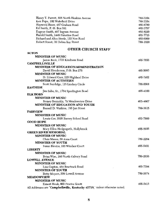| Henry T. Parrott, 808 North Hoskins Avenue | 789-3104 |
|--------------------------------------------|----------|
| Ken Pope, 102 Wakefield Drive              | 789-3354 |
| Haywood Riner, 487 Graham Road             | 465-8780 |
| Ed Smith, P. O. Box 381                    | 465-3757 |
| Eugene Smith, 407 Ingram Avenue            | 465-8220 |
| Harold Smith, 1449 Palestine Road          | 465-7715 |
| Richard and Alice Steele, 133 Noe Road     | 465-6009 |
| Robert Street, 30 Debra Kay Street         | 789-1620 |
|                                            |          |

## **OTHER CHURCH STAFF**

**ACTON** 

| <b>MINISTER OF MUSIC</b>                                                 |          |
|--------------------------------------------------------------------------|----------|
| Jamie Beck, 1715 Kindness Road                                           | 465-7856 |
| <b>CAMPBELLSVILLE</b>                                                    |          |
| <b>MINISTER OF EDUCATION/ADMINISTRATION</b>                              |          |
| David Henderson, P.O. Box 279                                            | 465-5093 |
| <b>MINISTER OF MUSIC</b>                                                 |          |
| D. Edward Garr, 225 Highland Drive                                       | 465-7462 |
| <b>MINISTER OF ACTIVITIES</b>                                            |          |
| Scott Sandidge, 116 Lindsey Circle                                       | 789-5508 |
| <b>EASTSIDE</b>                                                          |          |
| Jim Sabo, Sr., 1784 Spurlington Road                                     | 465-4100 |
| ELK HORN                                                                 |          |
| <b>MINISTER OF MUSIC</b>                                                 |          |
| Romey Reynolds, 79 Meadowview Drive                                      | 465-4607 |
| MINISTER OF EDUCATION AND YOUTH                                          |          |
| Russell D. Watkins, 195 Jan Street                                       | 789-3615 |
| <b>FAIRVIEW</b>                                                          |          |
| <b>MINISTER OF MUSIC</b>                                                 |          |
| Lewis Cox, 2628 Barney School Road                                       | 465-7869 |
| <b>GOOD HOPE</b>                                                         |          |
| <b>MINISTER OF MUSIC</b>                                                 |          |
| Mary Ellen Hedgespeth, Hollybrook                                        | 465-8905 |
| <b>GREEN RIVER MEMORIAL</b>                                              |          |
| <b>MINISTER OF MUSIC</b>                                                 |          |
| Chris Mason, 58 Anna Court                                               | 789-2264 |
| <b>MINISTER OF YOUTH</b>                                                 |          |
| Susan Blevins, 103 Windsor Court                                         | 465-5401 |
| <b>LIBERTY</b>                                                           |          |
| <b>MINISTER OF MUSIC</b>                                                 |          |
| Brian Wise, 160 North Calvary Road                                       | 789-2656 |
| <b>LOWELL AVENUE</b>                                                     |          |
| <b>MINISTER OF MUSIC</b>                                                 |          |
| Lisa Gupton, 484 Beartrack Road                                          | 465-7394 |
| <b>MINISTER OF YOUTH</b>                                                 |          |
| Betty Moyers, 509 Lowell Avenue                                          | 789-2674 |
| <b>MEADOWVIEW</b>                                                        |          |
| <b>MINISTER OF MUSIC</b>                                                 |          |
| Ernest Houk, 803 Proctor Knott                                           | 465-5415 |
| All Addresses are "Campbellsville Kentucky 42718" unless otherwise noted |          |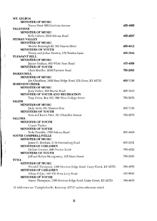| MT. GILBOA                                                                                                                                                                                                                                                      |          |
|-----------------------------------------------------------------------------------------------------------------------------------------------------------------------------------------------------------------------------------------------------------------|----------|
| <b>MINISTER OF MUSIC</b>                                                                                                                                                                                                                                        |          |
| Nancy Hunt, 902 Gardenia Avenue                                                                                                                                                                                                                                 | 465-4808 |
| <b>PALESTINE</b>                                                                                                                                                                                                                                                |          |
| <b>MINISTER OF MUSIC</b>                                                                                                                                                                                                                                        |          |
| Kelly Calmes, 5939 Saloma Road                                                                                                                                                                                                                                  | 465-4527 |
| PITMAN VALLEY                                                                                                                                                                                                                                                   |          |
| <b>MINISTER OF MUSIC</b>                                                                                                                                                                                                                                        |          |
| Montie Benningfield, 363 Sharon Drive                                                                                                                                                                                                                           | 465-4912 |
| <b>MINISTERS OF YOUTH</b>                                                                                                                                                                                                                                       |          |
| Timmy and JoAnn Newton, 172 Newton Lane                                                                                                                                                                                                                         | 465-3844 |
| PLEASANT HILL                                                                                                                                                                                                                                                   |          |
| <b>MINISTER OF MUSIC</b>                                                                                                                                                                                                                                        |          |
| Jimmy Graham, 800 White Rose Road                                                                                                                                                                                                                               | 465-4009 |
| <b>MINISTER OF YOUTH</b>                                                                                                                                                                                                                                        |          |
| Chris Mueller, 2010 Fairview Road                                                                                                                                                                                                                               | 789-2902 |
| <b>RAIKES HILL</b>                                                                                                                                                                                                                                              |          |
| <b>MINISTER OF MUSIC</b>                                                                                                                                                                                                                                        |          |
| Jim Cheatham, 3420 Bass Ridge Road, Elk Horn, KY 42733                                                                                                                                                                                                          | 465-7159 |
| <b>ROBINSON CREEK</b>                                                                                                                                                                                                                                           |          |
| <b>MINISTER OF MUSIC</b>                                                                                                                                                                                                                                        |          |
| Jerry Parker, 838 Martin Road                                                                                                                                                                                                                                   | 465-3418 |
| <b>MINISTER OF YOUTH AND RECREATION</b>                                                                                                                                                                                                                         |          |
| Tony Cress, Box 352, 200 West College Street                                                                                                                                                                                                                    | 789-5276 |
| <b>SALEM</b>                                                                                                                                                                                                                                                    |          |
| <b>MINISTER OF MUSIC</b>                                                                                                                                                                                                                                        |          |
| Jacky Arvin, 601 Hunters Run                                                                                                                                                                                                                                    | 465-7139 |
| <b>MINISTERS OF YOUTH</b>                                                                                                                                                                                                                                       |          |
| Ross and Karen Price, 521 Chandler Avenue                                                                                                                                                                                                                       | 789-2678 |
| <b>SALOMA</b>                                                                                                                                                                                                                                                   |          |
| <b>MINISTER OF YOUTH</b>                                                                                                                                                                                                                                        |          |
| Connie Tucker,                                                                                                                                                                                                                                                  |          |
| <b>MINISTER OF YOUTH</b>                                                                                                                                                                                                                                        |          |
| Ricky Franklin, 4760 Saloma Road                                                                                                                                                                                                                                | 465-4410 |
| <b>SOUTH CAMPBELLSVILLE</b>                                                                                                                                                                                                                                     |          |
| <b>MINISTER OF MUSIC</b>                                                                                                                                                                                                                                        |          |
| James E. Durham, 2134 Greensburg Road                                                                                                                                                                                                                           | 465-3331 |
| <b>MINISTER OF CHILDREN</b>                                                                                                                                                                                                                                     |          |
| Debbie Coomer, 800 Proctor Knott                                                                                                                                                                                                                                | 789-4222 |
| <b>MINISTERS OF YOUTH</b>                                                                                                                                                                                                                                       |          |
| Jeff and Robyn Montgomery, 215 Davis Street                                                                                                                                                                                                                     | 789-2083 |
| YUMA                                                                                                                                                                                                                                                            |          |
| <b>MINISTER OF MUSIC</b>                                                                                                                                                                                                                                        |          |
| Wendell Thompson, 1305 Hovious Ridge Road, Casey Creek, KY 42723                                                                                                                                                                                                | 384-4876 |
| <b>MINISTER OF CHILDREN</b>                                                                                                                                                                                                                                     |          |
| Arlene Gilpin, 440 Elk Horn Loop Road                                                                                                                                                                                                                           | 465-8692 |
| <b>MINISTER OF YOUTH</b>                                                                                                                                                                                                                                        |          |
| Stacey Thompson, 1305 Hovious Ridge Road, Casey Creek, KY 42723                                                                                                                                                                                                 | 384-4876 |
| $\mathbf{u}$ and $\mathbf{v}$<br>a state of the state of the state of the state of the state of the state of the state of the state of the state of the state of the state of the state of the state of the state of the state of the state of the state of the |          |
|                                                                                                                                                                                                                                                                 |          |

 $\frac{1}{2}$ 

ull Addresses are "Campbellsville, Kentucky 42718" unless otherwise noted.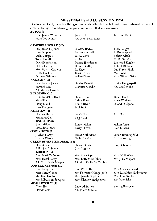### **MESSENGERS--FALL SESSION 1994**

Due to an accident, the actual listing of people who attended the fall session was destroyed in place of a partial listing. The following people were pre-enrolled as messengers.

#### **ACTON** (4)

| Rev. James W. Jones | Jack Beck             | Rosalind Beck |
|---------------------|-----------------------|---------------|
| Nora Lee Minor      | Alt. Mrs. Betty Jones |               |
|                     |                       |               |

#### **CAMPBELLSVILLE (47)**

Dr. James E. Jones [im Campbel] W. G. Cave Vicky Campbell Tom Cundiff Ed Garr David Henderson Helen Kirtley Mrs. Robert Oldham Liz Shaw R. B. Tincher Dr. Ken Winters **EASTSIDE** (5) Rev. Ivan L. Jones Howard Cox Alt. Marshall Webb ELK HORN (14) Rev. Daniel S. Hunt, Sr. Marci Hunt Joshua Hunt Doug Bland **Ryan Dudgeon** Paul Smith **FAIRVIEW (5)** Charles Harris Lewis Cox Margaret Cox Peggy Cox **FRIENDSHIP (6)** Fred Miller Geraldine Jones **GOOD HOPE (6)** J. Alvin Hardy Reesor Pierce **GREEN RIVER MEMORIAL (14)** Don Gowin **Billie Sue Kibbons** LIBERTY (6) Rev. Mark D. Jones Mrs. Hazel Lacey Alt. Mrs. Doris Magers **LOWELL AVENUE (12)** Rev. Larry Koch Miss Candy Jones Mr. Tom Gupton Mr. Lilburn Hedgespeth **MEADOWVIEW (4)** Gene Hall David Cable Alt. James Mitchell

Chester Badgett Laura Campbell Denise Henderson Homer Kirtley Tessie Tincher Willard Wise Stanley DeWitt Clarence Goodin Sharon Hunt Renee Bland Renee Miller **Barry Blevins** James Netherland Nelle Blevins Sharon Gowin Glen Canada Mrs. Anna Sapp Mrs. Betty McCubbin Alt. Mrs. Callie McCubbin Rev. W. R. Beard Mr. Forrester Hedgespeth Mrs. Jewell Gupton Mrs. Eleanor Hedgespeth Leonard Barnes

Ruth Badgett Ruth Campbell Robert Clark M. B. Gaskins Lynwood Kessler Robert Oldham Dr. Forest Shely Marc Whitt Mrs. Willard Wise

Junior Hedgespeth Alt. Cecil Webb

Danny Hunt Rusty Watkins Cheryl Dudgeon

Alan Cox

Milton Jones Jane Blevins

Glenn Benningfield E. Poe Young

Jerry Kibbons

Mrs. Nell Wise Mr. J. C. Magers

Mrs. Frances Beard Mrs. Lula Mae Hedgespeth Miss Lisa Gupton Ms. Jane Pike

Marion Bowman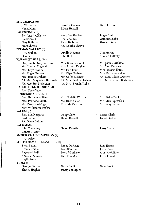| MT. GILBOA (6)                   |                         |                           |
|----------------------------------|-------------------------|---------------------------|
| J. W. Farmer                     | Bernice Farmer          | Darrell Hunt              |
| Nancy Hunt                       | Edgar Russell           |                           |
| PALESTINE (10)                   |                         |                           |
| Rev. Landon Hadley               | Mary Lou Hadley         | Roger Smith               |
| Earl Fawcett                     | Jim Sabo, Sr.           | Catherine Sabo            |
| Gary Rafferty                    | Paula Rafferty          | Howard Kerr               |
| Mark Shreve                      | Alt. Delitha Shreve     |                           |
| PITMAN VALLEY (6)                |                         |                           |
| J. V. Mullen                     | Orville Newton          | Tim Mardis                |
| Deo Lee                          | John Rafferty           | Alineen Rafferty          |
| PLEASANT HILL (14)               |                         |                           |
| Dr. Joseph Dwayne Howell         | Mrs. Susan Howell       | Mr. Jimmy Graham          |
| Mr. Charles England              | Mrs. Louise England     | Mr. Sam Crawley           |
| Mrs. Kay Crawley                 | Mr. Earl Hunt           | Mrs. Tressie Hunt         |
| Mr. Edgar Graham                 | Mr. Olyn Graham         | Mrs. Barbara Graham       |
| Mrs. Jennie Graham               | Mr. Colby Deener        | Alt. Mrs. Gloria Deener   |
| Alt. Mrs. May Alice Reynolds     | Alt. Mrs. Regina Graham | Alt. Mr. Chester Blakeman |
| Alt. Mrs. Ina Blakeman           | Alt. Mrs. Brenda Willis |                           |
| <b>RAIKES HILL MISSION (4)</b>   |                         |                           |
| Rev. Terry Vale                  |                         |                           |
| <b>ROBINSON CREEK (11)</b>       |                         |                           |
| Rev. Herman Wilkins              | Mrs. Eulelia Wilkins    | Mrs. Edna Banks           |
| Mrs. Pearlene Smith              | Ms. Ruth Sallee         | Mr. Mike Sprowles         |
| Mr. Terry Eastridge              | Mrs. Ida Osborne        | Mr. Jerry Parker          |
| Mrs. Wilhemina Parker            |                         |                           |
| <b>SALEM</b> (6)                 |                         |                           |
| Rev. Tim Najpaver                | Doug Clark              | Diane Clark               |
| Earl Barnett                     | Helen Barnett           | David Gaddie              |
| Alt. Diane Lofton                |                         |                           |
| <b>SALOMA(6)</b>                 |                         |                           |
| John Chowning                    | Helen Franklin          | Larry Marcum              |
| Connie Tucker                    |                         |                           |
| SMOCK CHAPEL MISSION (4)         |                         |                           |
| J. C. Riley                      |                         |                           |
| <b>SOUTH CAMPBELLSVILLE (19)</b> |                         |                           |
| <b>Brian Fannin</b>              | James Durham            | Lois Harris               |
| Brenda Russell                   | Lucy Spurling           | Jerry Inman               |
| Raymond Bell                     | Steve McAllister        | Anna McAllister           |
| Almeda Osborne                   | Paul Franklin           | Edna Franklin             |
| Phyllis Inman                    |                         |                           |
| YUMA $(5)$                       |                         |                           |
| George Gaddie                    | Garry Bault             | Gaye Bault                |
| Shirley Hughes                   | Stacey Thompson         |                           |
|                                  |                         |                           |

 $\begin{array}{c} \hline \end{array}$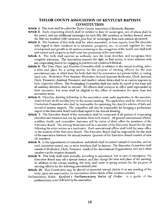## **TAYLOR COUNTY ASSOCIATION OF KENTUCKY BAPTISTS CONSTITUTION**

Article 1. This body shall be called the Taylor County Association of Kentucky Baptists.

- Article 2. Each cooperating church shall be entitled to four (4) messengers, one of whom shall be the pastor, and one additional messenger for each fifty (50) members or fraction thereof, above the first one hundred (100) members, plus four (4) messengers from each mission sponsored.
- Article 3. The business of this body shall be, when assembled, to hear reports from the churches with regard to their condition as to members, prosperity, etc., to consult together for their development and growth in all matters pertaining to the evangelism of the world, and shall hold and control such property as shall come into possession of the association.
- Article 4. The body shall exercise no authority over the local churches, and recognizes their complete autonomy. The Association reserves the right, as final action, to sever relations with any cooperating church for engaging in practices not considered Biblical.
- **Article 5.** The Time, Place, and Preacher Committee shall, in addition to the annual meeting, select a time and place for a spring session for the purpose of electing officers for the next associational year, at which time the body shall elect by nomination and private ballot, or raising hand vote: Moderator; First Assistant Moderator; Second Assistant Moderator; Clerk; Assistant Clerk; Treasurer; Assistant Treasurer; and Auditor; whose duties shall be as custom imposes on their respective offices. The Nominating Committee shall also make its report at this time and all auxiliary directors shall be elected. All officers shall continue in office until superseded by their successor, but none shall be eligible to the office of moderator for more than two successive terms.
- Article 6. Churches desiring fellowship in the association must make application to the executive board at least six (6) months prior to the annual meeting. The application shall be referred to a Credentials Committee who shall be responsible for examining the church's articles of faith and record of mission support. The committee will also be responsible for bringing a preliminary report to the Executive Board and a final report to the Annual Meeting.
- Article 7. The Executive Board of the Association shall be composed of all pastors of cooperating churches and missions and one lay member from each church. All general associational officers, auxiliary heads, and committee chairmen will by virtue of their office be members of the Executive Board. The retiring Moderator will be a member of the Executive Board for the year following his active service as a moderator. Each associational officer shall hold the same office in the sessions of the Executive Board. The Executive Board shall be responsible for the work of the association between the annual sessions. Quorum of the Executive Board consists of nine (9) members.
- **Article 8.** In the appointment of committees, individuals shall be named instead of churches, and on each committee named, one or more members shall be laymen. The Executive Committee shall consist of Moderator, Clerk, Treasurer, heads of the Associational Organizations, and such other members as the occasion demands.
- **Article 9.** This body shall meet annually, according to adjustment, but in case of emergency, the Executive Board may call a special session, and also change the time and place of the meeting. In addition to the annual meeting, the body shall meet in spring session for the purpose of electing officers for the following associational year.
- Article 10. This Constitution may be altered or amended (except Article 4) at any meeting of the body, upon one year's notice, by concurrence of two-thirds of the members present.
- Parliamentary Rules: Kerfoot's Parliamentary Rules of Order is a guide of the parliamentary order followed by the association.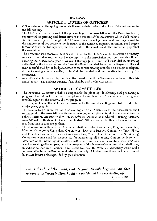## **BY-LAWS ARTICLE 1--DUTIES OF OFFICERS**

- $\mathbf{1}$ . Officers elected at the spring session shall assume their duties at the close of the last session in the fall meeting.
- The Clerk shall keep a record of the proceedings of the Association and the Executive Board,  $2.$ superintend the printing and distribution of the minutes of the Association which shall include statistics from August 1 through July 31 immediately preceding the annual meeting covered by the minutes, send five copies to the Secretary of the Kentucky Baptist Convention, send copies to various other Baptist agencies, and keep a file of the minutes and other important papers of the association.
- 3. The Treasurer shall receive all money contributed by the churches to the Association or money received from other sources, shall make reports to the Association and the Executive Board covering the Associational year of August 1 through July 31 and shall make disbursements as authorized by the Association and the Executive Board, and shall be authorized to pay all bills and salaries established by the budget adopted at an annual meeting until the next budget is adopted at the following annual meeting. He shall be bonded and the bonding fee paid by the association.
- 4. An auditor shall be secured by the Executive Board to audit the Treasurer's books and attest his annual report. The auditing expense, if any shall be paid by the Association.

#### **ARTICLE II-COMMITTEES**

- The Executive Committee shall be responsible for planning, developing, and promoting a 1. program of activities for the year in all phases of church work. This committee shall give a monthly report on the progress of their program.
- $2.$ The Program Committee will plan the programs for the annual meetings and shall report as far in advance as possible.
- The Nominating Committee, after consulting with the Auxiliaries of the Association, shall 3. recommend to the Association at its annual meeting nominations for all Associational Sunday School Officers, Associational W. M. U. Officers, Associational Church Training Officers, Associational Brotherhood Officers, Church Music Officers, and such other officers as the body may from time to time assign them.
- The standing committees of the Association shall be Budget Committee; Program Committee; 4. Missions Committee; Evangelism Committee; Christian Education Committee; Time, Place, and Preacher Committee; Resolutions Committee; Youth Committee; and the Nominating Committee which shall be responsible for nominating all Standing Committee Members. Members of the Standing Committees will serve three years on a rotating basis with one member rotating off each year, with the exception of the Missions Committee which shall have, in addition to the three members, a representative from the Women's Missionary Union and a representative from the Brotherhood selected annually. All other committees shall be appointed by the Moderator unless specified by special motion.

For God so loved the world, that He gave His only begotten Son, that whosoever believeth in Him should not perish, but have everlasting life.  $(John 3:16)$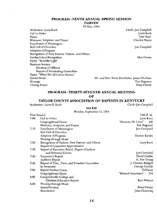## PROGRAM--NINTH ANNUAL SPRING SESSION

**FAIRVEW** 

09 May, 1994

Moderator--Larry Koch Call to Order Hvmn Welcome, Scripture, and Prayer **Enrollment of Messengers** Roll Call of Churches Adoption of Program Recognition of New Pastors, Visitors, and Others Sunday School Recognition Hymn "Send the Light" Business Session Election of Officers Report of Nominating Committee Hymn "When We All Get to Heaven" Special Music Message Closing Prayer

Moderator--Larry D. Koch

Clerk--Jim Campbell Larry Koch "Our Best" Charles Harris

**Jim Campbell** 

Don Gowin

Mr. and Mrs. Steve McAllister, James Durham Tim Najpaver Brian Fannin

## PROGRAM--THIRTY-SEVENTH ANNUAL MEETING OF

## TAYLOR COUNTY ASSOCIATION OF BAPTISTS IN KENTUCKY

Clerk--Jim Campbell

| 5A I .F.M |
|-----------|
|           |

| Monday, September 12, 1994     |                                                                                                                                                                                                                                                                                                     |
|--------------------------------|-----------------------------------------------------------------------------------------------------------------------------------------------------------------------------------------------------------------------------------------------------------------------------------------------------|
| First Session                  | 7:00 P.M.                                                                                                                                                                                                                                                                                           |
| Call to Order                  | Larry Koch                                                                                                                                                                                                                                                                                          |
| Congregational Hymn            | "Because He Lives"<br>448                                                                                                                                                                                                                                                                           |
| Welcome, Scripture, and Prayer | Tim Najpaver                                                                                                                                                                                                                                                                                        |
|                                | Jim Campbell                                                                                                                                                                                                                                                                                        |
| Roll Call of Churches          |                                                                                                                                                                                                                                                                                                     |
| Adoption of Program            | Homer Kirtley                                                                                                                                                                                                                                                                                       |
|                                |                                                                                                                                                                                                                                                                                                     |
|                                | Larry Koch                                                                                                                                                                                                                                                                                          |
|                                |                                                                                                                                                                                                                                                                                                     |
|                                |                                                                                                                                                                                                                                                                                                     |
| and Historical Events          | Jim Campbell                                                                                                                                                                                                                                                                                        |
| Treasurer's Report             | David Gaddie                                                                                                                                                                                                                                                                                        |
|                                | E. Poe Young                                                                                                                                                                                                                                                                                        |
|                                | J. Chester Badgett                                                                                                                                                                                                                                                                                  |
| In Memorial                    | George Gaddie                                                                                                                                                                                                                                                                                       |
| Baptist Student Union          | Ed Pavey                                                                                                                                                                                                                                                                                            |
| Congregational Hymn            | "Blessed Assurance"<br>334                                                                                                                                                                                                                                                                          |
| Campbellsville College and     |                                                                                                                                                                                                                                                                                                     |
|                                | Ken Winters                                                                                                                                                                                                                                                                                         |
| Worship through Music          |                                                                                                                                                                                                                                                                                                     |
| Annual Sermon                  | Brian Fannin                                                                                                                                                                                                                                                                                        |
| Benediction                    | John Chowning                                                                                                                                                                                                                                                                                       |
|                                | <b>Enrollment of Messengers</b><br>Worship through Music<br>Recognition of Visitors, New Pastors, and Others<br>Report of Committee Appointments<br>Report of Executive Board, Digest of Letters<br>Auditor's Report<br>Report of Time, Place, and Preacher Committee<br>Christian Education Report |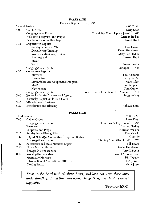**PALESTINE** 

|      | Tuesday, September 13, 1994                  |                                            |
|------|----------------------------------------------|--------------------------------------------|
|      | Second Session                               | 4:00 P.M.                                  |
| 4:00 | Call to Order                                | Larry Koch                                 |
|      | Congregational Hymn                          | "Stand Up, Stand Up for Jesus"<br>485      |
|      | Welcome, Scripture, and Prayer               | Landon Hadley                              |
|      | Resolutions Committee Report                 | Darrell Hunt                               |
| 4:15 | Department Reports                           |                                            |
|      | Sunday School and VBS                        | Don Gowin                                  |
|      | Discipleship Training                        | David Henderson                            |
|      | Women's Missionary Union                     | Mary Lou Hadley                            |
|      | Brotherhood                                  | Darrell Hunt                               |
|      | Music                                        |                                            |
|      | Youth                                        | Susan Blevins                              |
|      | Congregational Hymn                          | "Sunlight"<br>444                          |
| 4:35 | Committee Reports                            |                                            |
|      | Missions                                     | Tim Najpaver                               |
|      | Evangelism                                   | Larry Parrish                              |
|      | Stewardship and Cooperative Program          | Marc Whitt                                 |
|      | Media                                        | Jim Campbell                               |
|      | Nominating                                   | Tom Gupton                                 |
|      | Congregational Hymn                          | "When the Roll Is Called Up Yonder"<br>516 |
| 5:05 | Kentucky Baptist Convention Message          | Brenda Gray                                |
|      | Kentucky Baptist Children's Home             |                                            |
| 5:40 | Miscellaneous Business                       |                                            |
| 5.50 | Benediction and Blessing                     | William Bault                              |
|      | <b>PALESTINE</b>                             |                                            |
|      | Third Session                                | 7:00 P.M.                                  |
| 7:00 | Call to Order                                | Larry Koch                                 |
|      | Congregational Hymn                          | "Glorious Is Thy Name"<br>204              |
|      | Welcome                                      | Landon Hadley                              |
|      | Scripture, and Prayer                        | Herman Wilkins                             |
| 7:15 | Sunday School Recognition                    | Don Gowin                                  |
| 7:30 | Report of Budget Committee (Proposed Budget) | Al Hardy                                   |
|      | Congregational Hymn                          | "Set My Soul Afire, Lord"<br>573           |
| 7.40 | Association and State Missions Report        | Bill Beard                                 |
| 7:50 | Home Mission Report                          | Denise Henderson                           |
|      | Foreign Mission Report                       | Jerry Kibbons                              |
| 8:00 | Worship through Music                        | Lowell Avenue Choir                        |
|      | Missionary Message                           | Bill Jaggers                               |
|      | Introduction of Associational Officers       | Larry Koch                                 |
|      | Closing Prayer                               | Mark Jones                                 |

Trust in the Lord with all thine heart; and lean not unto thine own understanding. In all thy ways acknowledge Him, and He shall direct thy paths.

 $(Proverbs 3:5, 6)$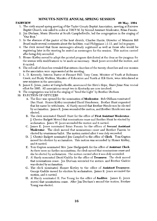## MINUTES-NINTH ANNUAL SPRING SESSION

#### **FAIRVIEW**

#### 09 May, 1994

- 1. The ninth annual spring meeting of the Taylor County Baptist Association, meeting at Fairview Baptist Church, was called to order at 7:00 P.M. by Second Assistant Moderator, Brian Fannin.
- 2. Jim Durham, Music Director at South Campbellsville, led the congregation in the singing of "Our Best."
- 3. In the absence of the pastor of the host church, Charles Harris, Director of Missions Bill Beard made several comments about the facilities, read Philippians 1:1-11, and led in prayer.
- 4. The clerk moved that those messengers already registered as well as those who would be registering later in the meeting be seated as messengers for the session. This motion carried after being duly seconded.
- 5. Homer Kirtley moved to adopt the printed program distributed at the door as the program for the session with modifications to be made as necessary. Mark Jones seconded the motion, and it carried.
- 6. The roll-call of churches revealed that sixteen churches of the twenty churches and one mission in the association were represented at the meeting.
- 7. L. D. Kennedy, Interim Pastor at Pleasant Hill; Tony Cress, Minister of Youth at Robinson Creek; and Rusty Watkins, Minister of Education and Youth at Elk Horn, were introduced as new ministers in the association.
- 8. James E. Jones, pastor at Campbellsville, announced the Here's Hope, Share Jesus Now revival effort for 1995. All associations except two in Kentucky are now involved.
- 9. The congregation was led in the singing of "Send the Light" by Brother Durham
- 10. ELECTION OF OFFICERS
	- A. The floor was opened for the nomination of **Moderator**. Bob Oldham nominated Dan Hunt. Homer Kirtley nominated David Henderson. Brother Hunt requested that his name be withdrawn. Al Hardy moved that Brother Henderson be elected by acclamation. James E. Jones seconded the motion, and Brother Henderson was elected.
	- B. The clerk nominated Darrell Hunt for the office of First Assistant Moderator. J. Chester Badgett Moved that nominations cease and Brother Hunt be elected by acclamation. James W. Jones seconded the motion and it carried.
	- C. James E. Jones nominated Brian Fannin for the offices of Second Assistant Moderator. The clerk moved that nominations cease and Brother Fannin be elected by unanimous ballot. The motion carried after it was duly seconded.
	- D. J. Chester Badgett nominated Jim Campbell to the office of Clerk. Tom Gupton moved for election by acclamation. This motion was seconded by Homer Kirtley, and it carried.
	- E. Tom Gupton nominated Mrs. Jane Hedgespeth for the office of Assistant Clerk. As there were no further nominations, the clerk moved that nominations cease and she be elected by acclamation. The motion carried after it was duly seconded.
	- F. Al Hardy nominated David Gaddie for the office of Treasurer. The clerk moved that nominations cease. Jim Durham seconded the motion, and Brother Gaddie was elected by acclamation.
	- G. The clerk nominated Homer Kirtley to the office of Assistant Treasurer. George Gaddie moved for election by acclamation. James E. Jones seconded the motion, and it carried.
	- H. Al Hardy nominated E. Poe Young for the office of **Auditor**. James E. Jones moved that nominations cease. After Jim Durham's second the motion, Brother Young was elected.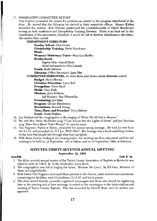#### 11. NOMINATING COMMITTEE REPORT

Tom Gupton presented the names for positions as printed in the program distributed at the door. He moved that the following be elected to their respective offices. Homer Kirtley seconded the motion. Bob Oldham questioned the constitutionality of David Henderson serving as both moderator and Discipleship Training Director. There is no limit set by the constitution of the association; therefore it would be left to Brother Henderson's discretion. The motion then carried.

#### **DEPARTMENT DIRECTORS**

Sunday School--Don Gowin

Discipleship Training--David Henderson

Music-

Women's Missionary Union--Mary Lou Hadley

Brotherhood-

Baptist Men--Darrell Hunt

Royal Ambassadors--Glen Canada

Youth--Keith Newton

Librarian (Office Secretary)--Jane Pike

COMMITTEE PERSONNEL (to serve three year terms unless otherwise noted)

**Budget--Barry Blevins** 

Christian Education--Larry Bell

Evangelism-Garry Bault

Media--Gary Hash

Missions--Jerry Kibbons

Jail Ministry--Ray Flewwellin

Nominating--Jim Sabo

**Program-Denise Henderson** 

Resolutions--Murrell Young

Time, Place, and Preacher-Terry Dabney

Youth--Rusty Watkins

- 12. Jim Durham led the congregation in the singing of "When We All Get to Heaven."
- 13. Mr. and Mrs. Steve McAllister sang "I Can Almost See the Lights of Home" and Jim Durham sang "Have You a Heart That's Weary?" for special music.
- 14. Tim Najpaver, Pastor at Salem, presented the annual spring message. He took his text from Act 5:1-11, and preached on "If I Lie, Will I Die?" His message was a heart-searching treatise on the lives that people live through what they say lightly.
- 15. With Brian Fannin leading in the closing prayer, the meeting was then adjourned until the fall meeting to be held on 12 September, 199, at Salem, and on 13 September, 1994, at Palestine.

#### MINUTES-THIRTY-SEVENTH ANNUAL MEETING September 12, 1994

#### **SALEM**

and the company of the company of the company of the company of the company of the company of the company of the company of the company of the company of the company of the company of the company of the company of the comp

7:00 P.M.

- 1. The thirty-seventh annual session of the Taylor County Association of Baptists in Kentucky was called to order at 7:00 P. M. by the Moderator, Larry Koch.
- 2. The congregation was led in singing the hymn, "Because He Lives," by Ed Garr, Minister of Music at Campbellsville.
- 3. Host Pastor Tim Najpaver welcomed those present to the church, made several announcements concerning the facilities, read I Corinthians 12-12-27, and led in prayer.
- 4. The clerk moved that the presently registered messengers and those who would be registering later in the meeting and at later meetings be seated as the messengers to the thirty-sixth annual meeting of Taylor County Baptists. This was seconded by Darrell Hunt, and the motion was approved.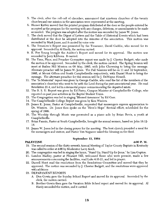- 5. The clerk, after the roll-call of churches, announced that nineteen churches of the twenty churches and one mission in the association were represented at the meeting.
- 6. Homer Kirtley moved that the printed program distributed at the door as the people entered be accepted as the program for the meeting with any changes, deletions, or amendments to be made as needed. The program was adopted after the motion was seconded by James W. Jones.
- 7. The clerk moved that the Digest of Letters and the Table of Historical Events which had been distributed at the door be adopted into the minutes of the association. This motion was seconded by Mark Jones, and it carried by voice vote
- 8. The Treasurer's Report was presented by the Treasurer, David Gaddie, who moved for its approval. Seconded by Al Hardy, the motion carried.
- 9. E. Poe Young brought the Auditor's Report and moved for its approval. The motion was seconded by Jerry Kibbons. It carried.
- 10. The Time, Place, and Preacher Committee report was made by J. Chester Badgett, who made the motion it be approved. Seconded by the clerk, the motion carried. The Spring Session will meet at Raikes Hill Mission on 08 May, 1995, with John Chowning to bring the message. Alternate preacher will be James W. Jones. The Fall Sessions will be on 11 and 12 September, 1995, at Mount Gilboa and South Campbellsville respectively, with Daniel Hunt to bring the message. The alternate preacher for this session will be J. DeWayne Howell.
- 11. The "In Memorial" report was given by George Gaddie, who read the list of the members of the association's churches who went to be with the Lord during the past associational year. He read Revelation 21:4, and led in a memorial prayer commemorating the departed saints.
- 12. The B. S. U. Report was given by Ed Pavey, Campus Minister at Campbellsville College, who reported on past year activities in the Baptist Student Union.
- 13. The Congregation was led in singing "Blessed Assurance" by Ed Garr.
- 14. The Campbellsville College Report was given by Ken Winters.
- 15. James E. Jones, Pastor at Campbellsville, requested that messengers express appreciation to Dr. Winters. Dr. Jones then spoke on the "Here's Hope" Revival effort, scheduled for the spring of 1995.
- 16. The Worship through Music was presented as a piano solo by Brian Revis, a youth at Campbellsville.
- 17. Brian Fannin, Pastor at South Campbellsville, brought the annual sermon, based on John 18:12-18.
- 18. James W. Jones led in the closing prayer for the meeting. The host church provided a meal for the messengers and visitors, and Pastor Tim Najpaver asked the blessing on the food.

#### September 13, 1994

#### 4:00 P.M.

- 19. The second session of the thirty-seventh Annual Meeting of Taylor County Baptists in Kentucky was called to order at 4:00 by Moderator Larry Koch.
- 20. The congregation was led in singing the hymn, "Stand Up, Stand Up for Jesus," by Lisa Gupton.
- 21. Landon Hadley, pastor at Pleasant Hill, welcomed those who were present, made a few announcements concerning the facilities, read Luke 4:16-21, and led in prayer.
- 22. Darrell Hunt read the resolutions from the Resolutions Committee and moved that they be approved. The motion was seconded by J. Chester Badgett, and the resolutions were approved with additions
- 23. DEPARTMENT REPORTS

**PALESTINE** 

- A. Don Gowin gave the Sunday School Report and moved for its approval. Seconded by the clerk, the motion carried.
- B. Brother Gowin then gave the Vacation Bible School report and moved for its approval. Al Hardy seconded the motion, and it carried.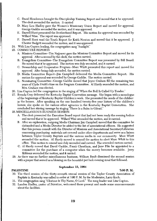- C. David Henderson brought the Discipleship Training Report and moved that it be approved. The clerk seconded the motion. It carried
- D. Mary Lou Hadley gave the Women's Missionary Union Report and moved for approval. George Gaddie seconded the motion, and it was approved.
- E. Darrell Hunt presented the Brotherhood Report. His motion for approval was seconded by Willard Wise. The report was approved.
- F. Darrell Hunt read the Youth Report for Keith Newton and moved that it be approved. J. Chester Badgett seconded the motion, and it was approved.
- 24. With Lisa Gupton leading, the congregation sang "Sunlight."
- 25. COMMITTEE REPORTS
	- A. Missions Committee--Tim Najpaver gave the Missions Committee Report and moved for its approval. After a second by the clerk, the motion carried.
	- B. Evangelism Committee--The Evangelism Committee Report was presented by Bill Beard. He moved that it be approved. The motion was duly seconded, and it carried.
	- C. Stewardship and Cooperative Program--Marc Whitt presented this report and moved for approval. After being duly seconded, the motion carried.
	- D. Media Committee Report--Jim Campbell delivered the Media Committee Report. His motion for approval was seconded by George Gaddie. The motion carried.
	- E. Nominating Committee--George Gaddie moved that Joyce Graham fill the remaining two years of Clyde Pruitt's time on the Program Committee. Al Hardy seconded the motion, and Mrs. Graham was elected.
- 26. Lisa Gupton led the congregation in the singing of "When the Roll Is Called Up Yonder."
- 27. Brenda Gray delivered the Kentucky Baptist Convention message. She began with a monologue of the beginnings of Kentucky Baptist Children's work. She presented the needs of the children in the homes. After speaking on the one hundred twenty-five year history of the children's homes, she spoke on the various other agencies in the Kentucky Baptist Convention. She concluded her stirring message by singing "There Is a Balm in Gilead."
- 28. MISCELLANEOUS BUSINESS SESSION
	- A. The clerk presented the Executive Board report that had not been ready the evening before and moved that it be approved. Willard Wise seconded the motion, and it carried.
	- B. After an explanation, outgoing Media Chairman Jim Campbell moved that the committee be disbanded and a Media Director be added to the list of associational officers. He suggested that this person consult with the Director of Missions and Associational Secretary/Librarian concerning purchasing materials not covered under other departments and serve as a liaison between Taylor County Baptists and the various media in our community. Marc Whitt seconded the motion. Al Hardy moved to amend the motion to elect Marc Whitt to this office. This motion to amend was duly seconded and carried. The amended motion carried.
	- C. Al Hardy moved that David Gaddie, Frank Cheatham, and Jane Pike be appointed to a committee for the purchase of a computer when the money becomes available. Jerry Kibbons seconded the motion, and it carried.
- 29. As there was no further miscellaneous business, William Bault dismissed the second session with a prayer that served as a blessing on the bountiful pot luck evening meal that followed.

#### **PALESTINE**

comprehensive and comprehensive comprehensive and comprehensive comprehensive and control of the company of the

#### September 13, 1994

- 30. The third session of the thirty-seventh annual session of the Taylor County Association of Baptists in Kentucky was called to order at 7:00 P. M. by the Moderator, Larry Koch.
- 31. The congregation sang "Clorious Is Thy Name, O Lord." The song leader was Lisa Gupton.
- 32. Landon Hadley, pastor of Palestine, welcomed those present and made some announcements about the facilities.

#### 7:00 P.M.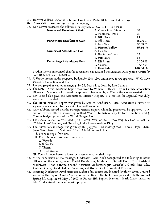- 33. Herman Wilkins, pastor at Robinson Creek, read Psalm 24:1-10 and led in prayer.
- 34. Three visitors were recognized in the meeting.
- 35. Don Gowin presented the following Sunday School Awards for 1992-1993.

| <b>Numerical Enrollment Gain</b> | 3. Green River Memorial | 33         |
|----------------------------------|-------------------------|------------|
|                                  | 2. Robinson Creek       | 38         |
|                                  | 1. Elk Horn             | 71         |
| Percentage Enrollment Gain       | 3. Elk Horn             | 22.90 %    |
|                                  | 2. East Side            | 33.33 %    |
|                                  | 1. Pitman Valley        | 35.56%     |
| <b>Numerical Attendance Gain</b> | 3. East Side            | 10         |
|                                  | 2. Robinson Creek       | 13         |
|                                  | 1. Elk Horn             | 32         |
| Percentage Attendance Gain       | 3. Elk Horn             | $16.58\%$  |
|                                  | 2. Saloma               | 16.67%     |
|                                  | 1. East Side            | 100.00 $%$ |

Brother Gowin announced that the association had attained the Standard Recognition Award for both 1992-1993 and 1993-1994.

- 35. Al Hardy presented the proposed budget for 1994-1995 and moved for its approval. W. G. Cave seconded the motion, and it carried.
- 37. The congregation was led in singing "Set My Soul Afire, Lord" by Lisa Gupton
- 38. The State (Direct) Missions Report was given by William R. Beard, Taylor County Association Director of Missions, who moved for approval. Seconded by Al Hardy, the motion carried.
- 39. Rev. Beard also gave the Associational Mission Report. His motion for approval was duly seconded. It carried.
- 40. The Home Mission Report was given by Denise Henderson. Mrs. Henderson's motion to approve was seconded by the clerk. The motion carried.
- 41. Jerry Kibbons moved that the Foreign Mission Report, which he presented, be approved. The motion carried after a second by Willard Wise. Dr. Kibbons spoke to the motion, and J. Chester Badgett promoted the World Hunger Fund.
- 42. The special music was presented by the Lowell Avenue Choir. They sang "My God Is Real," a "Golden Stairs" Medley, and "Standing in the Presence of the King."
- 43. The missionary message was given by Bill Jaggers. His message was "There's Hope, Share Jesus Now," based on Matthew 13:1-8. A brief outline follows.
	- I. There is hope if we sow.
	- II. There is hope if we sow everywhere.
		- A. Wayside
		- **B.** Stony Places
		- C. Thoms
		- D. Good Ground
	- III. There is hope, because if we sow everywhere, we shall reap.
- 44. At the conclusion of the message, Moderator Larry Koch recognized the following as other officers for the coming year. David Henderson, Moderator; Darrell Hunt, First Assistant Moderator; Brian Fannin, Second Assistant Moderator; Jim Campbell, Clerk; Jane Pike, Assistant Clerk; David Gaddie, Treasurer; and Homer Kirtley, Assistant Treasurer.
- 45. Incoming Moderator David Henderson, after a few comments, declared the thirty-seventh annual session of the Taylor County Association of Baptists in Kentucky be adjourned until the Annual Spring Meeting on 08 May of 1995 at Raikes Hill Baptist Mission. Mark Jones, pastor at Liberty, dismissed the meeting with prayer.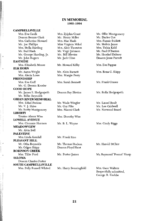#### **IN MEMORIAL** 1993-1994

#### **CAMPBELLSVILLE** Mrs. Eva Caulk Mrs. Zylphia Grant Mr. Ollie Montgomery Deacon Bennie Clark Mr. Henry Miller Mr. Darles Cox Mrs. Catherine Howard Mrs. Mae Hash Mrs. Fannie Sublett Mr. Joe Phillips Miss Virginia Mikel Mr. Melvin Janes Mrs. Stella Harding Mrs. Alice Thornton Mrs. Tishia Kidd Mr. Bud Hash Mr. Virgil Johnson Mr. Paul O'Banion Mr. Bill Blevins Mr. Hershel Dabney Mr. George Harding, Jr. Mr. John Rogers Mr. Jack Cline Deacon Jesse Parrott **EASTSIDE** Mrs. Elizabeth Moore Mr. Howard Kilby Mrs. Eva Pappas **ELK HORN** Mr. Aaron Wright Mr. Alvin Barnett Mrs. Rena C. Shipp Mrs. Alecia Lowe Mrs. Margie Perry **FRIENDSHIP** Mrs. Eva Goff Mrs. Sarah Bennett Mr. Frank Graves Mr. G. Dennis Kessler **GOOD HOPE** Mr. James S. Hedgespeth Deacon Ray Blevins Mr. Rolla Hedgespeth Mr. Billie Reynolds **GREEN RIVER MEMORIAL** Mrs. Ethel Perkins Mr. Wade Wingler Mr. Linuel Bault Mr. Lee Caldwell Mr. V. J. Shive Mr. Cov Pike Mr. Scotty Montgomery Mrs. Naomi Clark Mr. Norwood Beard **LIBERTY** Trustee Almon Wise Mrs. Dorothy Wise **LOWELL AVENUE** Mrs. Clemmie Harmon Mrs. Cindy Riggs Mr. B. L. Wayne **MEADOWVIEW** Mr. Alvia Bell **PALESTINE** Mrs. Linda Kendall Mr. Frank Rice PLEASANT HILL Mr. Otha Reynolds Mr. Thomas Hudson Mr. Harold StClair Mr. Odgen Shipp Deacon Floyd Short ROBINSON CREEK Mrs. Tillie Ford Mr. Porter James Mr. Raymond "Peanut" Sharp **SALOMA** Deacon Charles Porter **SOUTH CAMPBELLSVILLE** Mrs. Gave Walters Mrs. Polly Russell Whited Mr. Harry Benningfield

Respectfully submitted, George R. Gaddie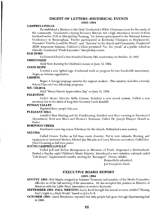#### DIGEST OF LETTERS--HISTORICAL EVENTS 1993-1994

#### **CAMPBELLSVILLE**

Reestablished a Ministry to the Deaf, Conducted a White Christmas event for the needy of the community, Conducted a Spring Recovery Retreat, Set a high attendance record of three hundred twelve (312) in Discipleship Training, Six Acteens participated in the National Acteens Conference in Birmingham, Twelve participated in Kentucky Changers in Hopkinsville, Presented "God So Loved the World" and "America" to the church and Community, Conducted AIDS Awareness Seminar, Children's Choir presented "Go, Go, Jonah" at a public school in Danville, Conducted "Fresh Encounter" discipleship course.

#### **ELK HORN**

Celebrated Church's One Hundred Twenty-fifth Anniversary on October 10, 1993.

#### **FRIENDSHIP**

Held Note Burning for Children's Annex on June 12, 1994.

#### **GOOD HOPE**

Erected a new lighted sign, Continued work on program for two hundredth anniversary, Began an Acteens organization

#### **LIBERTY**

Began A foreign language ministry for migrant workers. This ministry includes a Sunday School Class and two fellowship programs.

#### MT. GILBOA

Held "Henry Parrott Appreciation Day" on June 12, 1994.

### **PALESTINE**

Called Music Director Kelly Calmes, Installed a new sound system, Called a new secretary due to the death of long-time Secretary Linda Kendall

#### PITMAN VALLEY

Baptized three people this year.

#### PLEASANT HILL

Installed New Heating and Air Conditioning, Installed new floor covering in Preschool 2 Department, Built new Men's and Women's Restroom, Called Dr. Joseph Dwayne Howell as Pastor.

#### **ROBINSON CREEK**

Purchased a new big screen Television for the church, Refinished a new nursery.

#### **SALOMA**

Called Connie Tucker as full time music director; Put in new cabinets, flooring, and equipment in basement kitchen; Elected Jim Maupin and Larry Marcum as trustees, Called Rev. John Chowning as full time pastor.

#### SOUTH CAMPBELLSVILLE

Called Jeff and Robyn Montgomery as Ministers of Youth, Organized a Brotherhood, Started a Sunday night Children's Music Ministry, Introduced a new visitation outreach called "Life Reach," Implemented monthly meeting for "Keenagers" (Senior Adults).

> Respectfully submitted, Jim Campbell, Clerk

## **EXECUTIVE BOARD REPORT**

#### 1993-1994

AUGUST 1993--Bob Martin resigned as Assistant Treasurer and member of the Media Committee effective as of the fall meeting of the association. He has accepted the position as Director of Missions with the Little River Association in western Kentucky.

**SEPTEMBER 1993--FALL MEETING-Larry Koch brought the annual sermon, entitled "Sharing"** God's Light in a Dark World," based on John 8:12.

**OCTOBER 1993--** David Henderson reported that sixty people had gone through Experiencing God in 1993.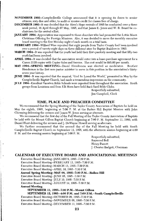- **NOVEMBER 1993--**Campbellsville College announced that it is opening its doors to senior citizens, sixty-five and older, to audit or receive credit for classes free of charge.
- DECEMBER 1993--It was decided that the Here's Hope revivals of 1995 be conducted over a three week period, 16 April through 07 May, 1995, and that James E. Jones and W. R. Beard be cochairmen for the revival effort.
- JANUARY 1994--Appreciation was expressed to those churches who had promoted the Lottie Moon Christmas Offering for Foreign Missions. Also, it was decided to move the monthly executive board meeting to the first Monday night of each month on a trial basis.
- **FEBRUARY 1994–Willard Wise reported that eight people from Taylor County had been involved** over a period of twenty-eight days on three different sites for Baptist Builders in 1993.
- **MARCH 1994--**It was reported that the youth had held their first quarterly meeting and that fifty-two youth had been involved.
- APRIL 1994--It was decided that the association would enter into a lease-purchase agreement for a Canon 2120 copier with Copier Sales and Service. The cost would be \$95.00 per month.
- MAY 1994--SPRING MEETING--David Henderson was elected as moderator. **Brother** Henderson is the first non-pastor minister to serve in this position in the association's thirtyseven year history.
- **JUNE 1994.** It was reported that the musical, "God So Loved the World," presented in May by the Campbellsville Baptist Church, had made a tremendous impression on the community.
- JULY 1994-Excellent Vacation Bible Schools were reported from throughout the association. Youth groups from Louisiana and from Elk Horn have held Back Yard Bible Clubs.

Respectfully submitted,

Jim Campbell, Clerk

## TIME, PLACE AND PREACHER COMMITTEE

We recommend that the Spring Meeting of the Taylor County Association of Baptists be held on May the eighth, 1995, beginning at 7:00 P. M. at the Raikes Hill Baptist Mission with John Chowning delivering the sermon and James W. Jones serving as alternate.

We recommend that the first day of the Fall Meeting of the Taylor County Association of Baptists be held with the Mount Gilboa Baptist Church beginning at 7:00 P. M. September 11, 1995, with Daniel Hunt delivering the sermon and J. DeWayne Howell serving as alternate.

We further recommend that the second day of the Fall Meeting be held with South Campbellsville Baptist Church on September 12, 1995, with the afternoon session beginning at 4:00 P. M. and the evening session beginning at 7:00 P. M.

> Respectfully submitted, Raymond Bell Henry Parrott J. Chester Badgett, Chairman

#### **CALENDAR OF EXECUTIVE BOARD AND ASSOCIATIONAL MEETINGS**

Executive Board Meeting -- JANUARY 9, 1995--7:30 P.M. Executive Board Meeting--FEBRUARY 13, 1995--7:30 P.M.

Executive Board Meeting--MARCH 13, 1995--7:30 P.M.

Executive Board Meeting--APRIL 10, 1995--7:30 P.M.

Annual Spring Meeting--MAY 08, 1995--7:00 P.M.--Raikes Hill

Executive Board Meeting--JUNE 05, 1995--7:30 P.M.

Executive Board Meeting--JULY 10, 1995--7:30 P.M.

Executive Board Meeting--AUGUST 14, 1995--7:30 P.M.

#### **Annual Meeting**

SEPTEMBER 11, 1995--7:00 P.M.--Mount Gilboa

SEPTEMBER 12, 1995--4:00 P.M. and 7:00 P.M. -- South Campbellsville

Executive Board Meeting--OCTOBER 09, 1995--7:30 P.M. Executive Board Meeting--NOVEMBER 06, 1995--7:30 P.M. Executive Board Meeting--DECEMBER 11, 1995--7:30 P.M.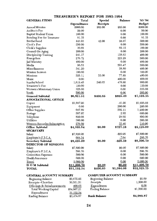| <b>GENERAL ITEMS</b>           | Total               | Special                         | <b>Balance</b> | '93-'94     |
|--------------------------------|---------------------|---------------------------------|----------------|-------------|
|                                | <b>Expenditures</b> | Receipts                        |                | Budget      |
| Annual Minutes                 | \$900.00            | \$85.00                         | \$85.00        | \$900.00    |
| Auditor's Fee                  | 50.00               |                                 | 0.00           | 50.00       |
| Baptist Student Union          | 100.00              |                                 | 0.00           | 100.00      |
| Bonding Fee for Treasurer      | 91.35               |                                 | 0.00           | 91.35       |
| Brotherhood                    | 443.93              | 42.00                           | 98.07          | 500.00      |
| Clerk's Fee                    | 550.00              |                                 | 0.00           | 550.00      |
| Clerk's Supplies               | 30.85               |                                 | 69.15          | 100.00      |
| Council On Aging               | 200.00              |                                 | 0.00           | 200.00      |
| Discipleship Training          | 241.37              |                                 | 158.63         | 400.00      |
| Evangelism                     | 276.72              |                                 | 223.28         | 500.00      |
| Jail Ministry                  | 480.00              |                                 | 0.00           | 480.00      |
| Media                          | 96.53               |                                 | 203.47         | 300.00      |
| Miscellaneous                  | 341.20              |                                 | 58.80          | 400.00      |
| Mission Sermon                 | 100.00              |                                 | 0.00           | 100.00      |
| Missions                       | 355.11              | 33.00                           | 77.89          | 400.00      |
| Music                          | 0.00                |                                 | 400.00         | 400.00      |
| <b>Sunday School</b>           | 1,619.45            | 240.65                          | $-478.80$      | 900.00      |
| Treasurer's Fee                | 120.00              |                                 | 0.00           | 120.00      |
| Women's Missionary Union       | 325.00              |                                 | 0.00           | 325.00      |
| Youth                          | 500.00              |                                 | 0.00           | 500.00      |
| General Subtotal               | \$6,821.51          | \$400.65                        | \$895.49       | \$7,316.35  |
| <b>ASSOCIATIONAL OFFICE</b>    |                     |                                 |                |             |
| Copier                         | \$1,697.20          |                                 | $-41.20$       | \$1,656.00  |
| Equipment                      | 0.00                |                                 | 200.00         | 200.00      |
| Office Supplies                | 697.89              |                                 | 502.11         | 1,200.00    |
| Postage                        | 597.07              |                                 | 2.93           | 600.00      |
| Telephone                      | 820.08              |                                 | 29.92          | 850.00      |
| Utilities                      | 300.00              |                                 | 0.00           | 300.00      |
| Western Recorder Subscription  | 276.60              |                                 | 33.40          | 310.00      |
| Office Subtotal                | \$4,388.84          | \$0.00                          | \$727.16       | \$5,116.00  |
| <b>SECRETARY</b>               |                     |                                 |                |             |
| Salary                         | \$7,820.95          |                                 | -\$20.95       | \$7,800.00  |
| Employer's F.I.C.A.            | 604.34              |                                 | $-7.64$        | 596.70      |
| <b>Secretary Subtotal</b>      | \$8,425.29          | \$0.00                          | -828.59        | \$8,396.70  |
| <b>DIRECTOR OF MISSIONS</b>    |                     |                                 |                |             |
| Salary                         | \$7,800.00          |                                 | \$0.00         | \$7,800.00  |
| Employer's F.I.C.A.            | 596.70              |                                 | 0.00           | 596.70      |
| Convention Expenses            | 500.00              |                                 | 0.00           | 500.00      |
| Health Insurance               | 600.00              |                                 | 0.00           | 600.00      |
| Travel                         | 2,000.00            |                                 | 0.00           | 2,000.00    |
| D O M Subtotal                 | \$11,496.70         | \$0.00                          | \$0.00         | \$11,496.70 |
| <b>TOTAL</b>                   | \$31,132.34         | \$400.65                        | \$1,594.06     | \$32,325.75 |
|                                |                     |                                 |                |             |
| <b>GENERAL ACCOUNT SUMMARY</b> |                     | <b>COMPUTER ACCOUNT SUMMARY</b> |                |             |
| Beginning Balance              | \$3,675.05          | Beginning Balance               |                | \$0.00      |
|                                | $00.521$ Fi         |                                 |                | 15000       |

## TREASURER'S REPORT FOR 1993-1994

| Beginning Balance          | \$3,675.05  |
|----------------------------|-------------|
| Receipts--Churches         | 30,531.51   |
| Offerings & Reimbursements | 400.65      |
| Total Working Capital      | \$34,607.21 |
| Expenditures               | 31,132.34   |
| <b>Ending Balance</b>      | \$3,474.87  |

| Beginning Balance     | www        |
|-----------------------|------------|
| Receipts              | 1,500.00   |
| Expenditures          | 0.00       |
| <b>Ending Balance</b> | \$1,500.00 |
|                       |            |

## **Bank Balance**

\$4,989.87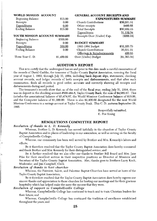| WORLD MISSION ACCOUNT |                               | <b>GENERAL ACCOUNT RECEIPTS AND</b> |              |
|-----------------------|-------------------------------|-------------------------------------|--------------|
| Beginning Balance     | \$15.00                       | <b>EXPENDITURES SUMMARY</b>         |              |
| Receipts              | 0.00                          | Church Contributions                | \$30,531.51  |
| <b>Expenditures</b>   | 0.00                          | Other receipts                      | \$400.65     |
| <b>Ending Balance</b> | \$15.00                       | <b>Total Receipts</b>               | \$30,932.16  |
|                       |                               | <b>Expenditures</b>                 | 31,132.34    |
|                       | YOUTH MISSION ACCOUNT SUMMARY | Receipts Over (Under) Exp.          | $(\$200.18)$ |
| Beginning Balance     | \$300.00                      |                                     |              |
| Receipts              | 0.00                          | <b>BUDGET SUMMARY</b>               |              |
| Expenditures          | 300.00                        | 1993-1994 Budget                    | \$32,325.75  |
| <b>Ending Balance</b> | 0.00                          | Church Contributions                | 30,531.51    |
|                       |                               | Offerings & Reimbursements          | 400.65       |
| Three Year C. D.      | \$1,400.02                    | Over (Under) Budget                 | \$1,393.59   |

#### **AUDITOR'S REPORT**

This is to certify that the undersigned has on and prior to this date made a careful examination of the records of David Gaddie, the treasurer of Taylor County Baptist Association, covering the fiscal year of August 1, 1993, through July 31, 1994, including bank deposit slips, statements, checking account records, and ledger records of both receipts and disbursements, and that after such examination, finds all records in good order, accurate and correctly showing all receipts and disbursements during said period.

The treasurer's records show that, as of the end of the fiscal year, ending July 31, 1994, there was on deposit in the checking account #600-484-5, Taylor County Bank, the sum of \$4,989.87. This includes the associational balance of \$3,474.87, the World Missions Conference balance of \$15.00, and the Computer balance of \$1,500.00. There is also \$1,400.02 designated for the next World Missions Conference in a savings account at Taylor County Bank. This C. D. matures September 29, 1995.

> Respectfully submitted, E. Poe Young

#### **RESOLUTIONS COMMITTEE REPORT**

#### Resolution of thanks to L. D. Kennedy

Whereas, Brother L. D. Kennedy has served faithfully in the churches of Taylor County Baptist Association and in places of leadership in our association, as well as serving on the faculty of Campbellsville College;

Whereas, our community has been well served by Brother and Mrs. Kennedy's labors and efforts;

Be it therefore resolved that the Taylor County Baptist Association does hereby commend and thank Brother and Mrs. Kennedy for their distinguished service; and

Be it further resolved that we also offer our thanks to Brother Bill Beard and Mrs. Jane Pike for their excellent service in their respective positions as Director of Missions and Secretary of the Taylor County Baptist Association. Also, thanks goes to Brothers Larry Koch, Moderator, and Jim Campbell, Clerk.

#### Resolution of thanks to host churches

Whereas, the Fairview, Salem, and Palestine Baptist Churches have served as hosts of the Taylor County Baptist Association;

Be it therefore resolved that the Taylor County Baptist Association does hereby express our sincere thanks and appreciation to these churches for hosting our meetings and for their gracious hospitality which has helped make the same the success that they were.

#### Resolution of support to Campbellsville College

Whereas, Campbellsville College has continued to teach and to train Christian leaders for their future; and

Whereas, Campbellsville College has continued the tradition of excellence established throughout the years; and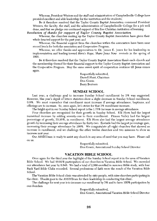Whereas, President Winters and the staff and administration of Campbellsville College have provided excellent and able leadership for the institution and the students;

Be it therefore resolved that the Taylor County Baptist Association commend President Winters, the faculty, the staff, and the administration of Campbellsville College for a job well done, and that we pledge our continued support of this fine Christian institution of learning.

Resolution of thanks for support of Taylor County Baptist Association

Whereas, the churches making up the Taylor County Baptist Association have given their whole-hearted support for the past year; and

Whereas, the financial support from the churches within the association have been near record levels for both the association and Cooperative Program.

Whereas, we offer thanks and appreciation to Dr. James E. Jones for his leadership in implementation and leading toward Here's Hope, Share Jesus Now revivals in the spring of 1995.

Be it therefore resolved that the Taylor County Baptist Association thank each church and the membership thereof for their financial support to the Taylor County Baptist Association and the Cooperative Program. May the same sweet spirit of cooperation continue till Jesus comes again.

> Respectfully submitted, Darrell Hunt, Chairman Don Gowin Barry Bertram

#### **SUNDAY SCHOOL**

Last year, a challenge goal to increase Sunday School enrollment by 3% was suggested. However, this year's digest of letters statistics show a slight decrease in Sunday School enrollment, 0.8%. We must remember that enrollment must increase if average attendance, baptisms, and offerings are to increase. So, once again, let's strive for that 3% enrollment increase.

The bright spot in our Sunday School report is the 1.73% increase in average attendance.

Four churches are recognized for their growth in Sunday School. Elk Horn had the largest numerical increase by adding seventy-one to their enrollment. Pitman Valley had the largest percentage of growth, 35.56%, in enrollment. Elk Horn also had the largest average attendance growth by increasing their average attendance by thirty-two. Eastside had the largest percentage gain, increasing their average attendance by 100%. We congratulate all eight churches that showed an increase in enrollment, and we challenge the other twelve churches and two missions to show an increase next year.

Our ASSISTeam is ready to assist any church in any area of need that you may have. Please call on us.

> Respectfully submitted, Don Gowin, Associational Sunday School Director

#### **VACATION BIBLE SCHOOL**

Once again for the third year the highlight of the Sunday School report is in the area of Vacation Bible School. We had 90.91% participation of our churches in Vacation Bible School. We exceeded our attendance last year by 8.545. We had a total of 2,580 enrolled in summer Bible study, with four Back Yard Bible Clubs recorded. Several professions of faith were the result of the Vacation Bible School.

The Vacation Bible School clinic was attended by sixty people, with nine churches participating in the clinic. Thanks goes to the ASSISTeam for their leadership in conducting this clinic.

The challenge for next year is to increase our enrollment by 3% and to have 100% participation by our churches.

Respectfully submitted,

Don Gowin, Associational Vacation Bible School Director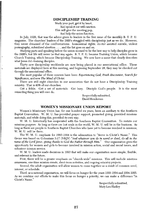#### **DISCIPLESHIP TRAINING**

Study your part, get it by heart, And speak it out with unction. This will give the meeting pep,

And help the union function.

In July, 1926, that was the advice given to leaders in the first issue of the monthly B.Y.P.U. magazine. The churches' leaders of the 1920's struggled with discipleship just as we do. However, they never dreamed of the confrontations: homosexual rights, doctor assisted suicide, violent pornography, subsidized abortion . . . , and the list goes on and on.

Studying parts and speaking before the union seemed to be the best way to help disciples grow in the 1920's, but life will never be that way again. B. Y. P. U. became Training Union, which became Church Training, which became Discipleship Training. We now have a name that clearly describes what Jesus did--training disciples.

Thirty new discipleship workbooks are now being placed in our associational office. These materials are displayed here at this meeting, and beginning September 28, they may be checked out through the associational office.

The most popular of these courses have been Experiencing God, Fresh Encounter, Search for Significance, and now The Mind of Christ.

There are still eight churches in our association that do not have a Discipleship Training ministry. That is 40% of our churches.

Get a Bible. Get a set of materials. Get busy. Disciple God's people. It is the most rewarding thing you will ever do.

> Respectfully submitted, David Henderson

#### **WOMEN'S MISSIONARY UNION REPORT**

Women's Missionary Union has, for one hundred six years, been an auxiliary to the Southern Baptist Convention. W. M. U. has provided prayer support, promoted giving, provided missions materials, and while doing this, provided its own way.

W. M. U. historically has cooperated with the Southern Baptist Convention. To restate our missions purpose: As long as there are lost souls in the world, W. M. U. will be in the business. As long as there are people in Southern Baptist Churches who have yet to become involved in missions, W. M. U. will be there.

The W. M. U. emphasis for 1993-1994 is the admonition to "Serve in Christ's Name." This theme was based on Colossians 3:17 (NKJV) "And whatever you do in word or deed, do all in the name of the Lord Jesus, giving thanks to God the Father through Him." Our organization gives the opportunity for women and girls to become involved in mission action, social and moral issues, and volunteer mission service.

W. M. U. leaders made decisions in 1993 that will make our organization more simple, flexible, and relevant in the future.

First, there will be a greater emphasis on "church-wide" missions. This will include missions awareness, one-time mission events, short-term activities, and ongoing ministry projects.

Second, the adult organization will allow women to come together as a result of common need, interest, or schedule.

Third, as a national organization, we will focus on hunger for the years 1993-1994 and 1994-1995. As we combine our efforts to make this focus on hunger a priority, we can make a difference "in Christ's Name."

> Respectfully submitted, Mary Lou Hadley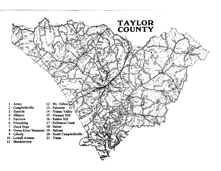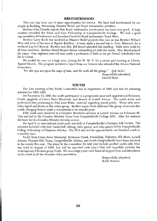#### **BROTHERHOOD**

This year has been one of many opportunities for service. We have had involvement by our people in Building, Witnessing, Disaster Relief, and Royal Ambassador activities.

Brother Glen Canada reports that Royal Ambassador involvement has been very good. A large number attended the Swim and Gym Fellowship at Campbellsville College. We had a good representation at Cedarmore and Jonathan Creek for Royal Ambassador Track Meet.

Brother Larry Koch was involved in Disaster Relief projects this year as was Brother Willard Wise and some of his men in Baptist Builders. A team made a second trip to Troy, Missouri, for a weekend Lay-led Revival. Brother and Mrs. Bill Beard attended this meeting. Visits were made by all team members. Brother David Moyers did an outstanding job with the music. Mrs. Beard played the piano. One eighteen-year-old man made a profession of faith as his girl friend rededicated her life to Christ.

We ended the year on a high note, joining the W. M. U. for a picnic and meeting at Liberty Baptist Church. The program included a report from our Acteens who attended the Acteen National Convention.

"For His eyes are upon the ways of man, and He seeth all His goings."  $($ [ob 34:21) Respectfully submitted, Darrell Hunt

#### YOUTH

The first meeting of the Youth Committee was in September of 1993 and was for planning activities for 1993-1994.

On November 13, 1993, the youth participated in a progressive meal with appetizers at Robinson Creek, spaghetti at Green River Memorial, and dessert at Lowell Avenue. The youth wrote and performed skits pertaining to True Love Waits, material regarding sexual purity. These skits were video taped and shown to the entire group. Brother Larry Cook addressed the group of seventy-five youth, charging them to make a commitment to be sexually pure.

Fifty youth were involved in a Creative Ministries seminar at Lowell Avenue on February 26. This was led by the Creative Ministry Team from Campbellsville College BSU. After the seminar the team led in a Creative Ministry worship service.

On April 9, an associational youth party was held at Campbellsville's Christian Life Center. The activities included volleyball, basketball, skating, table games, and relay games led by Campbellsville College Fellowship of Christian Athletes. The FCA also led the approximately one hundred youth in a worship time.

Youth from Green River Memorial, Robinson Creek, Friendship, Palestine, Elk Horn, Lowell Avenue, Pleasant Hill, Yuma, Campbellsville, Saloma, and South Campbellsville have been involved in the events this year. The plans by the committee for next year include another youth rally (One was held in August of 1994, but will be reported next year.) that will hopefully include the contemporary Christian group Truth. We encourage prayer and financial support from and attendance by the youth in all the churches of the association.

> Respectfully submitted, Keith Newton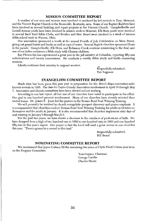#### **MISSION COMMITTEE REPORT**

A number of our men and women were involved in weekend lay-led revivals in Troy, Missouri, and the Vincent Baptist Church in the Booneville, Kentucky, area. Some of our Baptist Builders have been involved in several building and repair projects in the Vincent Church. Campbellsville and Lowell Avenue youth have been involved in mission work in Missouri, Elk Horn youth were involved in several Back Yard Bible Clubs, and Brother and Mrs. Beard were involved in a week of mission Bible school work in Warren, Ohio.

Our association sponsored a booth at the annual Fourth of July Celebration on Main Street, giving out gospel tracts and books as well as cups of water. Several Baptist churches sponsored floats in the parade. Campbellsville, Elk Horn, and Robinson Creek continue ministering to the deaf, and one of our ladies continues a Bible study with Chinese children.

Ray Flewwellin has experienced a great year in the jail ministry at Columbia, reporting fifty-one rededications and twenty conversions. He conducts a weekly Bible study and holds counseling sessions.

Liberty continues their ministry to migrant workers.

Respectfully submitted, Tim Najpaver

#### **EVANGELISM COMMITTEE REPORT**

Much time has been given this past year in preparation for the Here's Hope convention-wide harvest revivals in 1995. The date for Taylor County Association involvement is April 16 through May 7. Association and church committees have been elected and are working.

According to our last report, all but one of our churches have voted to participate in the effort. Our goal is one hundred percent involvement. Many of our churches have already selected their revival teams. Dr. James E. Jones led the pastors in the Roman Road Soul Winning Training.

We will presently be involved in church evangelistic prospect discovery and prayer emphasis. It is recommended that churches conduct Roman Road Soul Winning Training for adults in October or November and for youth in January. It is also recommended that churches implement sixty days of soul winning on January 9 through March 9.

For the past two years, we have shown a decrease in the numbers of professions of faith. We have dropped from a high of two hundred one in 1992 to one hundred sixty in 1993 and one hundred fifty-two in this year's report. Our prayer is that the Lord will send a great revival in our churches this year. "There's gonna be a revival in this land."

> Respectfully submitted, **Bill Beard**

#### **NOMINATING COMMITTEE REPORT**

We recommend that Joyce Graham fill the remaining two years of Clyde Pruitt's three-year term on the Program Committee.

> Tom Gupton, Chairman George Gaddie Charles Harris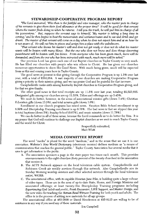## STEWARDSHIP-COOPERATIVE PROGRAM REPORT

"The Lord answered, 'Who then is the faithful and wise manager, who the master puts in charge of his servants to give them their food allowance at the proper time? It will be good for that servant whom the master finds doing so when he returns. I tell you the truth, he will put him in charge of all his possessions. But, suppose the servant says to himself, 'My master is taking a long time in coming,' and he then begins to beat the menservants and womenservants and to eat and drink and get drunk. The master of that servant will come on a day when he does not expect him and at an hour he is not aware of. He will cut him in pieces and assign him a place with the unbelievers.

"That servant who knows his master's will and does not get ready or does not do what his master wants will be beaten with many blows. But the one who does not know and does things deserving punishment will be beaten with few blows. From everyone who has been given much, more will be demanded; and from the one who has been entrusted with much, much more will be asked."

Our precious Lord has given each one of our Baptist churches in Taylor County so very much. He has filled our churches with people who win others to Christ. He has given our churches numerous opportunities to share His Good News. With much being given, much will be expected from us this and coming years here in Taylor County.

The good news at present is that giving through the Cooperative Program is up 1.2% over last year, with a total of \$363,064. A vast majority of our churches are making Cooperative Program giving a priority in their mission giving, and we can praise God and be grateful for that increase.

Campbellsville ranks sixth among Kentucky Baptist churches in Cooperative Program giving, and for that we give thanks.

The other good news is that total receipts are up  $11.5\%$  over last year, totaling \$2,523,665. Designated gifts among our churches are up 11.53%, Tithes and offerings are up 3.45%.

We must do better, however, in the areas of associational mission gifts (down 7.4%), Christian Education gifts (down 13.5%), and total mission gifts (down 1.0%).

Enrollment in our church programs has mixed news. Vacation Bible School enrollment is up 8.59% and Discipleship Training enrollment is up 9.78%. The bad news is that we slipped this year in total baptisms (down 5%), Sunday School (0.87%), and music ministry (down 11.78%).

We can do better in all of these areas, because the Lord commands us to do better for Him. It is my prayer that God will continue to challenge our Baptist churches as we seek to reach Taylor County and the world for Christ.

> Respectfully submitted, Marc Whitt

#### **MEDIA COMMITTEE REPORT**

The word "media" is plural for the word "medium," and in the sense that we use it in our association. Webster's New World Dictionary (electronic version) defines medium as "a means of communication that reaches the general public." Taylor County Association has several media that it uses to get information to the public.

- A. The association sponsors a page in the state paper two times each month. This provides announcements to the eight churches (forty percent of the twenty churches) in the association that receive it.
- B. The ACTS Network appears on the local television cable system. Campbellsville and Robinson Creek air weekly services through this network. Also Campbellsville airs its Sunday Morning worship services and other selected services through the local television outlet, WGRB.
- C. The associational office, with its capable librarian Jane Pike, is building quite a large volume of video tapes. These are in the area of up-to-date State, Home, and Foreign Missions and associated offerings; at least twenty-five Discipleship Training programs including Experiencing God (adult and youth), Fresh Encounter, LIFE Support, and Master Design; and the new video for teaching the Roman Road Witness Training for both youth and adults. The office is in the process of adding new materials for all age groups.

The associational office at 465-5600 or David Henderson at 465-8115 are willing to be of assistance in any way if you need any of these materials.

Jim Campbell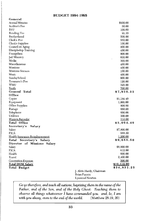## **BUDGET 1994-1995**

| General                        |                          |                     |
|--------------------------------|--------------------------|---------------------|
| Annual Minutes                 |                          | \$900.00            |
| Auditor's Fee                  |                          | 50.00               |
| BSU                            |                          | 100.00              |
| <b>Bonding Fee</b>             |                          | 91.35               |
| Brotherhood                    |                          | 500.00              |
| Clerk's Fee                    |                          | 550.00              |
| Clerk's Supplies               |                          | 100.00              |
| Council on Aging               |                          | 200.00              |
| Discipleship Training          |                          | 400.00              |
| Evangelism                     |                          | 800.00              |
| Jail Ministry                  |                          | 600.00              |
| Media                          |                          | 300.00              |
| Miscellaneous                  |                          | 400.00              |
| Missions                       |                          | 400.00              |
| Missions Sermon                |                          | 100.00              |
| Music                          |                          | 400.00              |
| Sunday School                  |                          | 900.00              |
| Treasurer's Fee                |                          | 120.00              |
| WMU                            |                          | 325.00              |
| <b>Youth</b>                   |                          | 700.00              |
| General Total                  |                          | \$7,936.35          |
| Office                         |                          |                     |
| Copier                         |                          | \$1,184.40          |
| Equipment                      |                          | 1,000.00            |
| Office Supplies                |                          | 800.00              |
| Postage                        |                          | 650.00              |
| Telephone                      |                          | 850.00              |
| Utilities                      |                          | 300.00              |
| Western Recorder               |                          | 310.00              |
| Total Office                   |                          | \$5,094.40          |
| Secretary's<br>Salary          |                          |                     |
| Salary                         |                          | \$7,800.00          |
| FICA                           |                          | 688.50              |
| Health Insurance Reimbursement |                          | 1,200.00            |
| Total<br>Secretary's Salary    |                          | \$9,688.50          |
| Director of Missions Salary    |                          |                     |
| Salary                         |                          | \$8,000.00          |
| <b>FICA</b>                    |                          | 612.00              |
| Health                         |                          | 600.00              |
| Travel                         |                          | 2,400.00            |
| <b>Convention Expense</b>      |                          | 500.00              |
| <b>Total DOM Salary</b>        |                          | $\cdot$ \$12,112.00 |
| Total Budget                   |                          | \$34,831.25         |
|                                | J. Alvin Hardy, Chairman |                     |
|                                | Brian Fannin             |                     |
|                                | Lynwood Newton           |                     |

Go ye therefore, and teach all nations, baptizing them in the name of the Father, and of the Son, and of the Holy Ghost: Teaching them to observe all things whatsoever I have commanded you: and, lo, I am with you alway, even to the end of the world. (Matthew 28:19, 20)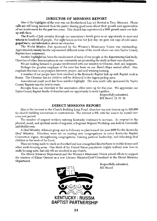### **DIRECTOR OF MISSIONS REPORT**

One of the highlights of the year was our Brotherhood Lay-led Revival in Troy, Missouri. Phone calls are still being received from the pastor sharing good news about their growth and appreciation of our involvement for the past two years. This church has experienced a 50% growth since our linkup with them.

The Fourth of July ministry through our association's booth gives us an opportunity to meet and witness to hundreds of people. For eight hours on this hot July day, we gave out cups of cold water, gospel tracts, and information about our churches.

The World Mission Fair sponsored by the Women's Missionary Union was outstanding. Approximately twenty booths represented different areas of the world where our own Taylor County Baptists have ministered.

Another highlight has been the involvement of many of our people in the Experiencing God study. Churches of other denominations in our community are promoting the study in their own churches.

We are looking forward to greater involvement with our ministry to Chinese, deaf, and migrants.

Perhaps the greatest emphasis of the year has been on our Here's Hope revival effort. Our emphasis this time is on prospect discovery, prayer, and soul winning training.

A number of our people have been involved in the Kentucky Baptist link-up with Baptist work in Russia. The Christian kits for children will be delivered to the region pickup soon.

Associational youth work has been another highlight. The area youth rally sponsored by Taylor County Baptists was the best in years.

Receipts from our churches in the association office were up for the year. We appreciate our Taylor County Baptist family of churches and our opportunity to work together.

> Respectfully submitted, Bill Beard, D. O. M.

#### **DIRECT MISSIONS REPORT**

Due to the increase in the Church Building Loan Fund, churches can now borrow up to \$20,000 for church building renovations or constructions. The interest is 8%, with the loan to be repaid over a ten year period.

The number of migrant workers entering Kentucky continues to increase. To respond to the physical, social, and spiritual needs of migrants, a Regional Migrant Workshop was held in Greenville and Middletown.

A Deaf Ministry Advisory group met in February to plan toward the year 2000 for the Kentucky Deaf Ministry. Priorities were set on starting new congregations in every Kentucky Baptist Convention region, strengthening congregations, training pastoral leadership, and educating deaf children in the work of the Lord.

Plans are being made to reach unchurched and non-evangelized Kentuckians in mobile homes and other multi-housing areas. One third of the United States population (eighty million) now lives in multi-housing units, but only 4% are involved in any church.

The Direct Missions Department and the Women's Missionary Union joined efforts to support the ministry of Elaine Ozment as a new Literacy Minister/Deaf Consultant in the Direct Missions Department.



Respectfully submitted. Bill Beard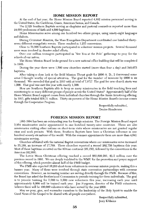#### **HOME MISSION REPORT**

At the end of last year, the Home Mission Board reported 4,882 mission personnel serving in the United States, the Caribbean, Guam, American Samoa, and Canada.

The 2,325 Southern Baptists serving as chaplains and pastoral counselors reported more than 24,000 professions of faith and 4,500 baptisms.

Home Missionaries serve among one hundred two ethnic groups, using ninety-eight languages and dialects.

During Crossover Houston, the Mass Evangelism Department coordinated one hundred thirtyseven different evangelistic events. These resulted in 1,253 conversions.

Close to 75,000 Southern Baptists participated in volunteer mission projects. Several thousand more were involved in disaster relief efforts.

Over one million teenagers participated in "See You at the Pole" gatherings to pray for the schools of our nation.

The Home Mission Board broke ground for a new national office building that will be completed in 1995.

During the year there were 1,500 new churches started (more than four a day) and 349,073 baptisms.

After taking a close look at the Bold Mission Thrust goals for 2000 A. D., I discovered some areas I thought worthy of special attention. The goal for the number of missions by 2000 is six thousand. We exceeded that goal in 1993 with at total of 7,971! The goal for new church starts was 1,500. That goal was met this year with exactly 1,500.

How are Southern Baptists able to keep so many missionaries in the field touching lives and ministering to so many different groups of people across the United States? Approximately half of the Home Mission Board support comes from individual churches through the Annie Armstrong offering. In 1993, gifts totaled \$36.31 million. Thirty-six percent of the Home Mission Board's income comes through the Cooperative Program.

> Respectfully submitted, Denise Henderson

#### **FOREIGN MISSION REPORT**

1993-1994 has been an outstanding year for foreign missions. The Foreign Mission Board report 3,954 missionaries under appointment in one hundred twenty-nine countries. There are also missionaries visiting other nations on short-term visits where missionaries are not granted regular visas and work permits. With these, Southern Baptists have been a Christian influence in one hundred seventy-six nations of the world. With the summer appointments there are more than 4,041 missionaries serving.

Churches affiliated with the national Baptist conventions where our missionaries serve increased to 35,188, an increase of 17,769. These churches reported a record 262,758 baptisms this year. Most of these baptisms occurred on the African continent (95,150), followed by the conventions in the Americas (92,388).

The Lottie Moon Christmas offering reached a record \$82,899,291, \$1.5 million over the previous record in 1991. We are deeply indebted to the WMU for the promotion and prayer support of this offering, which provides almost half of the FMB budget.

The FMB also reported 10,265 short-term volunteers in overseas mission projects, making this a banner year. Many of these were involved through state convention partnerships with overseas conventions. However, an increasing number are serving directly through the FMB. Because of this, the Board has asked the Brotherhood Commission to provide training for these individuals. The goal is to provide training for 3,000 to 3,500 new volunteers this year, increasing each year until approximately 8,000 will be trained each year. I im Furgeson, director of the FMB volunteers, believes there will be 100,000 volunteers who have served by the year 2000.

May we pray, give, and surrender ourselves to the leadership of the Holy Spirit to enable the Good News of the Gospel to be shared with all people everywhere.

> Respectfully submitted, Jerry Kibbons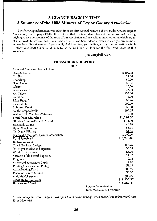# **A GLANCE BACK IN TIME** A Summary of the 1958 Minutes of Taylor County Association

The following information was taken from the first Annual Minutes of the Taylor County Baptist Association, item 7, pages 12-15. It is believed that this brief glance back at the first Annual meeting might give us a perspective of the roots of our association and the solid foundation upon which much of what we do today was built. Some editor's notes have been added in italics to clarify churches now known by different names. I personally feel humbled, yet challenged, by the dedication which Brother Woodruff Chandler demonstrated in his labor as clerk for the first nine years of this association.

Jim Campbell, Clerk

## **TREASURER'S REPORT**

1958

| Received from churches as follows:      |                        |            |
|-----------------------------------------|------------------------|------------|
| Campbellsville                          |                        | \$509.32   |
| Elk Horn                                |                        | 24.00      |
| Friendship                              |                        | 60.00      |
| Good Hope                               |                        | 50.64      |
| Liberty                                 |                        | 20.00      |
| Lone Valley *                           |                        | 36.00      |
| Mt. Gilboa                              |                        | 153.80     |
| Palestine                               |                        | 72.00      |
| Pikes Ridge '                           |                        | 65.24      |
| Pleasant Hill                           |                        | 200.00     |
| Robinson Creek                          |                        | 50.00      |
| South Campbellsville                    |                        | 297.55     |
| Walnut Hill (Now Lowell Avenue)         |                        | 10.00      |
| <b>Total from Churches</b>              |                        | \$1,548.55 |
| Offering from William E. Arnold         |                        | \$35.00    |
| Sale Study Course                       |                        | 48.15      |
| Hymn Sing Offerings                     |                        | 66.58      |
| "M" Night Offering                      |                        | 84.44      |
| Received from Russell Creek Association |                        | 1,000.00   |
| <b>Total Received</b>                   |                        | \$2,799.80 |
| <b>Disbursements</b>                    |                        |            |
| Check Book and Ledger                   |                        | \$6.75     |
| "M" Night speaker and expenses          |                        | 50.68      |
| W. M. U. Expenses                       |                        | 27.00      |
| Vacation Bible School Expenses          |                        | 24.32      |
| Programs                                |                        | 9.92       |
| Visitor and Messenger Cards             |                        | 14.00      |
| Printing Stationary and Postage         |                        | 52.65      |
| Acton Building Fund                     |                        | 500.00     |
| Piano for Eunice Mission                |                        | 50.00      |
| Andy McHolan salary                     |                        | 480.00     |
| <b>Total Disbursements</b>              |                        | \$1,237.37 |
| <b>Balance on Hand</b>                  |                        | \$1,562.43 |
|                                         | Respectfully submitted |            |

R. T. McFarland, Treasurer

\* Lone Valley and Pikes Ridge united upon the impoundment of Green River Lake to become Green River Memorial.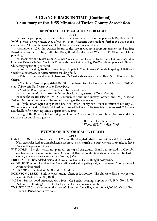# **A GLANCE BACK IN TIME (Continued)** A Summary of the 1958 Minutes of Taylor County Association

#### **REPORT OF THE EXECUTIVE BOARD** 1958

During the past year, the Executive Board met every month in the Campbellsville Baptist Church Building, with average attendance of twenty. Many decisions were made to further the work of the association. A few of the most significant discussions are presented here.

September 8, 1957 the District Board of the Taylor County Baptist Association held its first Board meeting, with Dr. J. Chester Badgett, Moderator, and Woodruff T. Chandler, Clerk, presiding.

In December, the Taylor County Baptist Association and Campbellsville Baptist Church agreed to take over Tabernacle No. 2 in Adair County, the association paying \$50.00 and Campbells ville Baptist Church paying \$25.00 per month.

In January meeting the Board voted to participate in Simultaneous Crusade in spring of 1959 and voted to allot \$500.00 to Acton Mission building fund.

In February the Board voted to have associational wide survey with Brother. G. R. Pendegraft in charge.

In March the Broad appropriated \$50.00 to purchase piano for Eunice Baptist Mission. (Editor's note--Tabernacle No. 2 mentioned in December).

In April the Board sponsored Vacation Bible School Clinic.

In May the Board set first week in November for taking survey of Taylor County.

In June the Board selected Dr. D. L. Druien to bring Introductory Sermon, and Dr. J. Chester Badgett, Missionary sermon, at the annual meeting of the Association.

In July the Board agree to sponsor a booth at Taylor County Fair, under direction of Dr. Roy G. Wilson, Associational Brotherhood President. Voted that reports to Association not exceed 250 words and deadline for returning letters September 15, 1958.

In August the Board voted we bring lunch to the Association, the host church to furnish drinks and lunch for out of town guests.

> Respectfully submitted, Woodruff T. Chandler, Clerk

#### **EVENTS OF HISTORICAL INTEREST** 1958

- CAMPBELLSVILLE New Raikes Hill Mission Building dedicated. New building at Acton started. New sidewalks laid at Campbellsville Church. First church in South Central Kentucky to have Forward Program of Finance.
- ELK HORN Bought pastorium, painted interior of pastorium. Hand rail erected on Church, electric clock installed in Church. Organized Brotherhood. Invitation is extended to Taylor County Association to meet with us first day 1959.

FRIENDSHIP - Remodeled inside of Church, brick on outside. Bought new piano.

GOOD HOPE - Church auditorium floors refinished and carpeting laid, also basement Sunday School Rooms redecorated.

PALESTINE - Organized W. M. S. and Brotherhood.

ROBINSON CREEK - Built new pastorium valued at \$10,000.00. The church called a new pastor, Jesse A. Parker, June 22, 1958.

SALEM - Brotherhood organized May, 1958. On Sunday evening, September 7, 1958, Rev. L. W. Fishburn, of Bowling Green, Kentucky, accepted pastorate of church.

WALNUT HILL - We purchased a pastor's home on Lowell Avenue for \$8,500.00. Called Rev. Henry T. Parrott for our pastor.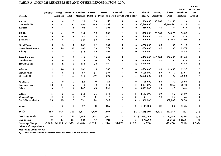## TABLE A CHURCH MEMBERSHIP AND OTHER INFORMATION--1994

| <b>CHURCH</b>        | Baptisms | Other<br>Additions | Lost               | Members Resident<br>Members | Nonres.     | Present<br>Members Membership Non-Baptist Non-Baptist | Received       | Lost to     | Value of<br>Property | Money<br>Borrowed | Church<br>Debt | Ratio<br>Members:<br>Baptisms | Allotted<br>Messengers<br>Per<br>Article 2 |
|----------------------|----------|--------------------|--------------------|-----------------------------|-------------|-------------------------------------------------------|----------------|-------------|----------------------|-------------------|----------------|-------------------------------|--------------------------------------------|
| Action               | $\bf{0}$ | $\bf{0}$           | $\bf{0}$           | 37                          | 13          | 50                                                    | $\bf{0}$       | 0           | \$80,000             | \$3,000           | \$2.100        | N/A                           | $\overline{4}$                             |
| Campbellsville       | 36       | 61                 | 60                 | 1651                        | 586         | 2,237                                                 | 6              | 3           | \$6,800,000          |                   | \$1,168,505    | 62.14                         | 47                                         |
| Eastside             | $\bf{0}$ | $\overline{7}$     | 5                  | 96                          | 5           | 101                                                   | $\bf{0}$       | 0           | \$85,000             | \$0               | \$0            | N/A                           | 5                                          |
| Elk Horn             | 19       | 41                 | 28                 | 524                         | 56          | 580                                                   | 1              | 2           | \$350,000            | \$8,850           | \$5,075        | 30.53                         | 14                                         |
| Fairview             | $\bf{0}$ | $\bf{0}$           | 1                  | 86                          | 39          | 125                                                   | 0              | 0           | \$70,000             | \$0               | \$0            | N/A                           | 5                                          |
| Friendship           | 12       | 8                  | g                  | 144                         | 23          | 167                                                   | $\overline{4}$ | 0           | \$200,000            |                   | \$3,015        | 13.92                         | 6                                          |
| <b>Cood Hope</b>     | 6        | 3                  | $\mathbf{2}$       | 165                         | 22          | 187                                                   | 0              | 0           | \$250,000            | \$0               | \$0            | 31.17                         | $6\phantom{1}$                             |
| Green River Memorial | 9        | 18                 | 27                 | 499                         | 75          | 574                                                   | $\bf{0}$       | $\bf{0}$    | \$500,000            | \$0               | \$0            | 63.78                         | 14                                         |
| Liberty              | 8        | 3                  | $\overline{\bf 4}$ | 148                         | 46          | 194                                                   | 0              | $\bf{0}$    | \$200,000            |                   | \$0            | 24.25                         | 6                                          |
| Lowell Avenue        | 4        | 7                  | 17                 | 414                         | 70          | 484                                                   | 0              | 1           | \$400,000            | \$16,784          | \$30,000       | 121.00                        | 12                                         |
| Meadowview           | 0        | 0                  | $\mathbf{1}$       | 77                          | $\bf{0}$    | 77                                                    | $\bf{0}$       | 0           | \$300,000            | \$0               | \$0            | N/A                           | $\overline{\mathbf{4}}$                    |
| Mount Gilboa         | 2        | $\mathbf 2$        | $\overline{\bf 4}$ | 136                         | 33          | 169                                                   | 0              | 2           | \$220,000            |                   | \$0            | 84.50                         | 6                                          |
| Palestine            | 11       | 10                 | $\mathbf 7$        | 290                         | 76          | 366                                                   | 3              | $\bf{0}$    | \$600,000            | \$0               | \$2,400        | 33.27                         | 10                                         |
| Pitman Valley        | 3        | 0                  | 3                  | 87                          | 68          | 155                                                   | 0              | 0           | \$120,000            | \$0               | \$0            | 51.67                         | 6                                          |
| Pleasant Hill        | 4        | 7                  | 17                 | 443                         | 157         | 600                                                   | $\bf{0}$       | 1           | \$1,185,200          | \$0               | \$0            | 150.00                        | 14                                         |
| "Raikes Hill         | 1        | $\bf o$            | $\bf{0}$           | 25                          | $\pmb{0}$   | 25                                                    | 0              | $\bf{0}$    | \$46,000             | \$0               | \$0            | 25.00                         | $\overline{4}$                             |
| Robinson Creek       | 18       | 11                 | 7                  | 348                         | 62          | 410                                                   | 3              | $\bf{0}$    | \$266,000            | \$0               | \$980          | 22.78                         | 11                                         |
| Salem                | $\bf{0}$ | 3                  | $\overline{4}$     | 142                         | 49          | 191                                                   | $\bf{0}$       | $\bf{0}$    | \$306,000            | \$0               | \$0            | N/A                           | 6                                          |
| Saloma               | 5        | 9                  | 10                 | 140                         | 34          | 174                                                   | 0              | 5           | \$160,000            | \$0               | \$0            | 34.80                         | 6                                          |
| #Smock Chapel        | $\bf{0}$ | $\bf{0}$           | $\bf{0}$           | 7                           | $\mathbf 0$ | 7                                                     | $\bf{0}$       | 0           | P                    | \$0               | \$0            | N/A                           | 4                                          |
| South Campbellsville | 10       | 19                 | 13                 | 631                         | 174         | 805                                                   | 0              | $\bf{0}$    | \$1,000,000          |                   | \$39,082       | 80.50                         | 19                                         |
| Yuma                 | 4        | $\bf{0}$           | 3                  | 87                          | 38          | 125                                                   | 0              | $\mathbf 0$ | \$100,000            | \$0               | \$0            | 31.25                         | 5                                          |
| Totals               | 152      | 209                | 222                | 6,177                       | 1,626       | 7,803                                                 | 17             | 14          | 13,238,200           | 28,634            | 1,251,157      | 861                           | 216                                        |
| Last Year's Totals   | 160      | 172                | 250                | 6,265                       | 1,632       | 7,897                                                 | 15             |             | 13 \$12,660,000      |                   | \$1,429,440    | 39.16                         | 214                                        |
| Gain or Loss (-)     | (8)      | 37                 | (28)               | (88)                        | (6)         | (94)                                                  | 2              | 1           | 578,200              |                   | (178, 283)     | 821.39                        | $\boldsymbol{2}$                           |
| Percentage Change    | $-5.00%$ | 21.51%             | $-11.20%$          | $-1.40%$                    | $-0.37%$    | $-1.19%$                                              | 13.33%         | 7.69%       | 4.57%                |                   | $-12.47%$      | 20.98                         | 0.78%                                      |

\*Mission of Campbellsville

#Mission of Lowell Avenue

N/A These churches had no baptisms, therefore there is no comparison factor.

 $\sim$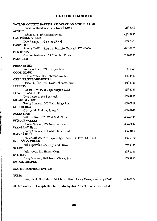## **DEACON CHAIRMEN**

| TAYLOR COUNTY BAPTIST ASSOCIATION MODERATOR              |          |
|----------------------------------------------------------|----------|
| David W. Henderson, 277 Daniel Drive                     | 465-5093 |
| <b>ACTON</b>                                             |          |
| Jack Beck, 1715 Kindness Road                            | 465-7856 |
| <b>CAMPBELLSVILLE</b>                                    |          |
| Don Bishop, 9291 Saloma Road                             | 465-6404 |
| <b>EASTSIDE</b>                                          |          |
| Stanley DeWitt, Route 1, Box 180, Raywick KY 40060       | 692-2608 |
| <b>ELK HORN</b>                                          | 789-1830 |
| Charles Seaborne, 108 Churchill Drive<br><b>FAIRVIEW</b> |          |
|                                                          |          |
| <b>FRIENDSHIP</b>                                        |          |
| Vontress Jones, 5211 Bengal Road                         | 465-5156 |
| <b>GOOD HOPE</b>                                         |          |
| E. Poe Young, 320 Robinson Avenue                        | 465-4443 |
| <b>GREEN RIVER MEMORIAL</b>                              |          |
| Darrell Miller, 4830 New Columbia Road                   | 465-3721 |
| LIBERTY                                                  |          |
| Robert L. Wise, 460 Spurlington Road                     | 465-4366 |
| <b>LOWELL AVENUE</b>                                     |          |
| Tom Gupton, 484 Beartrack                                | 465-7957 |
| <b>MEADOWVIEW</b>                                        |          |
| Welby Simpson, 205 Smith Ridge Road                      | 465-5919 |
| MT. GILBOA                                               | 465-2078 |
| George M. Phillips, Route 2<br><b>PALESTINE</b>          |          |
| William Bault, 828 West Main Street                      | 465-7746 |
| PITMAN VALLEY                                            |          |
| Orville Newton, 172 Newton Lane                          | 465-3844 |
| PLEASANT HILL                                            |          |
| Jimmy Graham, 800 White Rose Road                        | 465-4009 |
| <b>RAIKES HILL</b>                                       |          |
| Jim Cheatham, 3564 Bass Ridge Road, Elk Horn KY 42733    | 465-7159 |
| <b>ROBINSON CREEK</b>                                    |          |
| Mike Sprowles, 183 Highland Drive                        | 789-1148 |
| <b>SALEM</b>                                             |          |
| Jacky Arvin, 601 Hunters Run<br><b>SALOMA</b>            | 465-7139 |
| Larry Marcum, 1019 North Chaney Pike                     | 465-3946 |
| <b>SMOCK CHAPEL</b>                                      |          |
|                                                          |          |

#### SOUTH CAMPBELLSVILLE

## **YUMA**

Garry Bault, 904 White Oak Church Road, Casey Creek, Kentucky 42743 465-3927

All Addresses are 'Campbellsville, Kentucky 42718," unless otherwise noted.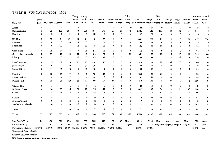## TABLE B SUNDAY SCHOOL--1994

|                                       |                  |                    |                          |                  | Young          | Young       |           |                                                   |              |                  | Other        |                                             |         | New         |                                        |             |             |          | Vacation Backyard |
|---------------------------------------|------------------|--------------------|--------------------------|------------------|----------------|-------------|-----------|---------------------------------------------------|--------------|------------------|--------------|---------------------------------------------|---------|-------------|----------------------------------------|-------------|-------------|----------|-------------------|
|                                       | Cradle           |                    |                          |                  | Adult          | Adult       | Adult     | Senior                                            |              | Home General     | Bible        | Total                                       | Average | S.S.        | College                                | Single      | Bus/Van     | Bible    | Bible             |
| CHURCH                                | Roll             | Preschool Children |                          | Youth            | 18-24          | 25-34       | $35 - 64$ | Adult                                             |              | Bound Officers   |              | Study EnrollmentAttendance Members Students |         |             |                                        | Adult       | Ministry    | School   | Club              |
| Action                                | $\mathbf 0$      | 3                  | 5                        | 3                | $\overline{2}$ | 0           | 11        | 0                                                 | $\mathbf 0$  | $\boldsymbol{2}$ | $\mathbf 0$  | 26                                          | 17      | $\Omega$    | $\mathbf 0$                            | 0           | $\mathbf 0$ | 27       | $\mathbf 0$       |
| Campbellsville                        | 0                | 95                 | 175                      | 184              | 79             | 104         | 407       | 179                                               | 33           | 17               | 49           | 1,322                                       | 542     | 161         | 69                                     | 71          | 17          | 341      | 0                 |
| Eastside                              | $\mathbf 0$      | 2                  | 0                        | $\boldsymbol{2}$ | $\bf{0}$       | 0           | 25        | $\Omega$                                          | $\mathbf 0$  | 3                | $\mathbf 0$  | 32                                          | 20      | 6           | $\mathbf 0$                            | $\mathbf 0$ | $\bf{0}$    | $\bf{0}$ | G.                |
| Elk Hom                               | 0                | 55                 | 64                       | 59               | 48             | 74          | 46        | 27                                                | 0            | 7                | -1           | 381                                         | 225     | 71          | 12                                     | 0           | 36          | 427      | 174               |
| Fairview                              | 0                | 6                  | $\overline{\mathcal{L}}$ | $\mathbf 0$      | 8              | 3           | $_{11}$   | $\overline{7}$                                    | $\bf{0}$     | 3                | $\Omega$     | 45                                          | 23      | $\mathbf 0$ | $\mathbf 0$                            | 1           | 0           | 35       | $\bf{0}$          |
| Friendship                            | $\mathbf 0$      | 8                  | $-11$                    | 7                | 14             | 23          | 18        | 12                                                | 4            | 4                | $\mathbf 0$  | 101                                         | 56      | 20          | 2                                      | 3           | 0           | 81       | $\bf{0}$          |
| Good Hope                             | 0                | 12                 | 14                       | 8                | 8              | 21          | 24        | 19                                                | 9            | 3                | 0            | 118                                         | 78      | θ           | 4                                      | 3           | 6           | 94       | $\mathbf 0$       |
| Green River Memorial                  | 0                | 27                 | 28                       | 49               | 20             | 41          | 82        | 39                                                | $\mathbf 0$  | 6                | 58           | 350                                         | 180     | 25          | 15                                     | 10          | 25          | 140      | 38                |
| Liberty                               | $\Omega$         | 11                 | 21                       | 12               | 18             | 50          | 45        | 32                                                | $\bf{0}$     | 5                | $\mathbf{2}$ | 196                                         | 88      | 7           | 4                                      | 12          | 0           | 126      | $\bf{0}$          |
| Lowell Avenue                         | $\mathbf 0$      | 25                 | 29                       | 29               | 35             | 23          | 124       | 45                                                | $\mathbf 0$  | 5                | $\mathbf{o}$ | 315                                         | 124     | 20          | 35                                     | 58          | 8           | 200      | 20                |
| Meadowview                            | 10               | 6                  | 7                        | 10               | 0              | 32          | 16        | 0                                                 | 0            | 3                | 0            | 84                                          | 40      | $\bf{0}$    | $\mathbf 0$                            | $\bf{0}$    | 0           | 49       | $\mathbf 0$       |
| Mount Gilboa                          | 3                | $_{11}$            | 15                       | 16               | 7              | 16          | 13        | 19                                                | 6            | $\mathbf{2}$     | $\Omega$     | 108                                         | 47      | 4           | 5                                      | 7           | 9           | 60       | $\bf{0}$          |
| Palestine                             | 0                | 20                 | 35                       | 17               | 5              | 46          | 70        | 43                                                | $\bf{0}$     | $^{2}$           | 0            | 238                                         | 128     | 21          | 4                                      | $\bf{0}$    | 4           | 90       | $\mathbf 0$       |
| Pitman Valley                         | 2                | 9                  | 9                        | 7                | O              | $\mathbf 0$ | 24        | 3                                                 | $\mathbf 0$  | $\overline{7}$   | 0            | 61                                          | 40      | $\bf{0}$    | 0                                      | $\mathbf 0$ | 0           | 48       | $\mathbf 0$       |
| Pleasant Hill                         | $\bf{0}$         | 35                 | 36                       | 29               | 18             | 21          | 99        | 17                                                | 14           | 4                | $\mathbf{o}$ | 273                                         | 181     | $\bf{0}$    | 9                                      | $\bf{0}$    | 5           | 156      | 0                 |
| *Raikes Hill                          | $\bf{0}$         | 1                  | 4                        | 4                | $\bf{0}$       | 0           | 12        | 0                                                 | $\mathbf 0$  | 1                | 0            | 22                                          | 18      | $\bf{0}$    | 0                                      | $\bf{0}$    | 6           | 18       | 0                 |
| Robinson Creek                        | 0                | 30                 | 77                       | 46               | 21             | 25          | 72        | 49                                                | 0            | 2                | 0            | 322                                         | 138     | 34          | 9                                      | 21          | 20          | 206      | $\pmb{0}$         |
| Salem                                 | 7                | 15                 | 18                       | 13               | Đ.             | 14          | 48        | 15                                                | $\mathbf{1}$ | 2                | 1            | 143                                         | 72      | 13          | 2                                      | 11          | $\bf{0}$    | 69       |                   |
| Saloma                                | 0                | 5                  | 13                       | 7                | $\bf{2}$       | 12          | 10        | 20                                                | 0            | 3                | 0            | 72                                          | 35      | 15          | 2                                      | 6           | $\mathbf 0$ | 54       | 0                 |
| #Smock Chapel                         | 0                | $\Omega$           | $\mathbf 0$              | 3                | $\bf{0}$       | $\bf{0}$    | 2         | $\mathbf{o}$                                      | $\mathbf 0$  | 2                | 0            | 7                                           | 5       | $\bf{0}$    | $\mathbf 0$                            | $\mathbf 0$ | $\bf{0}$    | $\bf{0}$ | $\pmb{0}$         |
| South Campbellsville                  | 7                | 18                 | 38                       | 28               | 20             | 39          | 70        | 48                                                | $\mathbf 0$  | 4                | $\mathbf{o}$ | 272                                         | 152     | 12          | 6                                      | 6           | 8           | 295      | 8                 |
| Yuma                                  | $\boldsymbol{2}$ | 3                  | 11                       | 8                | 14             | 12          | 17        | 2                                                 | $\mathbf 0$  | 2                | 0            | 71                                          | 28      | 10          | $\overline{7}$                         | 14          | $\bf{0}$    | 64       | $\bf{0}$          |
| Totals                                | 31               | 397                | 617                      | 541              | 328            | 556         | 1,246     | 576                                               | 67           | 89               | 111          | 4,559                                       | 2,237   | 428         | 185                                    | 223         | 144         | 2,580    | 240               |
| Last Year's Totals                    | 24               | 410                | 579                      | 570              | 241            | 590         | 1,056     | 647                                               | 81           | 82               | New          | 4,599                                       | 2,199   | New         | New                                    | New         | New         | 2,379    | None              |
| Gain or Loss (-)                      | 7                | $-13$              | 38                       | $-29$            | 87             | $-34$       | 190       | $-71$                                             | -14          |                  | 7 Category   | $-40$                                       |         |             | 38 Category Category Category Category |             |             | 201      | Last              |
| Percentage Change                     | 29.17%           | $-3.17%$           | 6.56%                    |                  |                |             |           | -5.09% 36.10% -5.76% 17.99% -10.07% -17.28% 8.54% |              |                  |              | $-0.87%$                                    | 1.73%   |             |                                        |             |             | 8.45%    | Year              |
| $^{\circ}$ kdission of Comphallarillo |                  |                    |                          |                  |                |             |           |                                                   |              |                  |              |                                             |         |             |                                        |             |             |          |                   |

and the contract of

\*Mission of Campbellsville<br>#Mission of Lowell Avenue

N/A These churches have no comparison factors.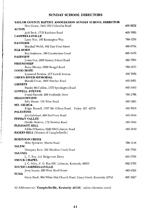## SUNDAY SCHOOL DIRECTORS

| TAYLOR COUNTY BAPTIST ASSOCIATION SUNDAY SCHOOL DIRECTOR            |          |
|---------------------------------------------------------------------|----------|
| Don Gowin, 3441 Old Columbia Road                                   | 465-6032 |
| <b>ACTON</b>                                                        |          |
| Jack Beck, 1715 Kindness Road                                       | 465-7856 |
| <b>CAMPBELLSVILLE</b>                                               |          |
| Larry Noe, 105 Kensington Way                                       | 789-1339 |
| <b>EASTSIDE</b>                                                     |          |
| Marshall Webb, 602 East First Street                                | 465-6754 |
| <b>ELK HORN</b>                                                     | 465-3478 |
| Roy Seaborne, 180 Countryview Court<br><b>FAIRVIEW</b>              |          |
| Lewis Cox, 2868 Barney School Road                                  | 465-7869 |
| FRIENDSHIP                                                          |          |
| Barry Blevins, 5200 Bengal Road                                     | 789-1673 |
| <b>GOOD HOPE</b>                                                    |          |
| Lynwood Newton, 417 Lowell Avenue                                   | 465-7652 |
| <b>GREEN RIVER MEMORIAL</b>                                         |          |
| Harold Cruse, 1809 Hatcher Road                                     | 465-2951 |
| <b>LIBERTY</b>                                                      |          |
| Stanley McCubbin, 1575 Spurlington Road                             | 465-5465 |
| <b>LOWELL AVENUE</b>                                                |          |
| Frank Piacenti, 208 Southside Drive                                 | 789-1786 |
| <b>MEADOWVIEW</b>                                                   |          |
| Billy Reese, 338 Wise Road                                          | 465-3203 |
| MT. GILBOA<br>Edgar Russell, 1787 Mt. Gilboa Road, Finley KY 42736  | 465-7035 |
| <b>PALESTINE</b>                                                    |          |
| Jim Gabehart, 800 Red Fern Road                                     | 465-2840 |
| PITMAN VALLEY                                                       |          |
| Orville Newton, 172 Newton Road                                     | 465-3844 |
| PLEASANT HILL                                                       |          |
| Eddie O'Banion, 6220 Old Lebanon Road                               | 465-3610 |
| <b>RAIKES HILL</b> (Mission of Campbellsville)                      |          |
|                                                                     |          |
| <b>ROBINSON CREEK</b>                                               |          |
| Mike Sprowles, Martin Road                                          | 789-1148 |
| <b>SALEM</b>                                                        |          |
| Dempsey Kerr, 192 Meadow Creek Road                                 | 465-7796 |
| <b>SALOMA</b>                                                       | 465-3706 |
| L. T. Roy, 111 Ridgecrest Drive<br><b>SMOCK CHAPEL</b>              |          |
| J. C. Riley, P. O. Box 556, Lebanon, Kentucky 40033                 | 692-3793 |
| <b>SOUTH CAMPBELLSVILLE</b>                                         |          |
| Jerry Inman, 205 West Hord Street                                   | 465-4529 |
| YUMA                                                                |          |
| Garry Bault, 904 White Oak Church Road, Casey Creek, Kentucky 42743 | 465-3927 |
|                                                                     |          |

All Addresses are "Campbellsville, Kentucky 42718," unless otherwise noted.

ł.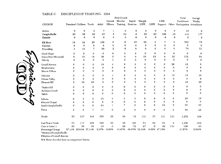#### TABLE C DISCIPLESHIP TRAINING 1994

|                           |                |                          |             |             |                  | New Church   |              |              |               |              |              | Total                          | Average      |
|---------------------------|----------------|--------------------------|-------------|-------------|------------------|--------------|--------------|--------------|---------------|--------------|--------------|--------------------------------|--------------|
|                           |                |                          |             |             | Ceneral          | Member       | Baptist      | Disciple     |               | LIFE         |              | Enrollment                     | Weekly       |
| CHURCH                    |                | Preschool Children Youth |             | Adult       | Officers         | Training     | Doctrine     | LIFE         | LIFE          | Support      |              | Other Participation Attendance |              |
| Action                    | 0              | 0                        | 2           | 7           | 1                | $\bf{0}$     | 0            | 0            | 0             | $\mathbf 0$  | 0            | 10                             | 9            |
| Campbellsville            | 20             | 58                       | 52          | 55          | 5                | 34           | 0            | 50           | 23            | 100          | 45           | 442                            | 177          |
| Eastside                  | 0              | $\pmb{0}$                | 0           | 0           | $\Omega$         | $\bf{0}$     | $\bf{0}$     | 0            | $\theta$      | $\Omega$     | $\bf{0}$     | $\Omega$                       | $\mathbf 0$  |
| Elk Horn                  | 19             | 42                       | 28          | 169         | 5                | 0            | 33           | 28           | 9             | 7            | 2            | 342                            | 75           |
| Fairview                  | $\mathbf 0$    | $\bf{0}$                 | $\bf{0}$    | $\mathbf 0$ | $\mathbf 0$      | $\mathbf 0$  | $\mathbf{0}$ | $\mathbf 0$  | 0             | $\mathbf{0}$ | $\mathbf{0}$ | $\bf{0}$                       | $\bf{0}$     |
| Friendship                | 4              | 10                       | 7           | 30          | $\boldsymbol{2}$ | 8            | $\bf{0}$     | 0            | $\Omega$      | $\bf{0}$     | $\mathbf{9}$ | 70                             | 21           |
| Good Hope                 | 0              | $\mathbf 0$              | $\bf{0}$    | 0           | $\bf{0}$         | $\bf{0}$     | 0            | 0            | $\bf o$       | 0            | $\bf{0}$     | $\bf{0}$                       | $\bf{0}$     |
| Green River Memorial      | 8              | 10                       | 18          | 30          | 5                | 8            | 0            | 33           | 25            | $\Omega$     | 35           | 172                            | 58           |
| Liberty                   | 0              | 0                        | $\mathbf 0$ | 0           | $\mathbf{1}$     | 8            | 0            | $\bf{0}$     | $\mathbf 0$   | $\bf{0}$     | $\bf{0}$     | 9                              | 9            |
| Lowell Avenue             | 0              | $\bf{0}$                 | $\bf{0}$    | 18          | 4                | 0            | 0            | $\mathbf 0$  | $\mathbf 0$   | $\mathbf 0$  | 20           | 42                             | 8            |
| Meadowview                | 0              | $\bf{0}$                 | $\mathbf 0$ | 0           | 0                | 0            | $\mathbf 0$  | $\mathbf{0}$ | 0             | 0            | $\mathbf 0$  | $\mathbf 0$                    | $\bf{0}$     |
| Mount Gilboa              | $\bf{0}$       | 0                        | $\bf{0}$    | $\bf{0}$    | 0                | 0            | $\Omega$     | $\mathbf{0}$ | $\bf{0}$      | 0            | 0            | $\bf{0}$                       | $\mathbf{0}$ |
| Palestine                 | 0              | $\theta$                 | $\mathbf 0$ | $\mathbf 0$ | 4                | 0            | 0            | 0            | 0             | 0            | 15           | 19                             | 10           |
| Pitman Valley             | 0              | $\mathbf 0$              | $\mathbf 0$ | $\mathbf 0$ | $\mathbf 0$      | 0            | 0            | $\mathbf 0$  | 0             | 0            | $\mathbf 0$  | 0                              | $\mathbf 0$  |
| Pleasant Hill             | $\mathbf 2$    | 16                       | 28          | $\mathbf 0$ | $\mathbf 0$      | $\bf{0}$     | $\Omega$     | $\bf{0}$     | $\bf{0}$      | 0            | 0            | 46                             | 20           |
| "Raikes Hill              | 0              | 0                        | $\mathbf 0$ | $\mathbf 0$ | 0                | $\bf{0}$     | $\bf{0}$     | 0            | 0             | $\Omega$     | $\bf{0}$     | $\bf{0}$                       | $\mathbf 0$  |
| Robinson Creek            | 0              | 0                        | 0           | 0           | 0                | 0            | $\mathbf 0$  | 0            | $\mathbf 0$   | 0            | $\mathbf{0}$ | $\bf{0}$                       | $\mathbf 0$  |
| Salem                     | 0              | 0                        | $\mathbf 0$ | $\mathbf 0$ | 0                | $\mathbf{0}$ | $\Omega$     | 0            | 0             | 0            | $\mathbf{0}$ | $\bf{0}$                       | $\bf{0}$     |
| Saloma                    | $\mathbf 0$    | 3                        | $\mathbf 2$ | 15          | $\overline{2}$   | 3            | 3            | 0            | $\mathbf 0$   | $\Omega$     | 0            | 28                             | 10           |
| #Smock Chapel             | 0              | $\mathbf 0$              | $\bf{0}$    | $\mathbf 0$ | $\mathbf 0$      | $0 -$        | $\Omega$     | $\mathbf 0$  | $\mathbf 0$   | $\Omega$     | $\mathbf 0$  | $\mathbf 0$                    | $\mathbf{0}$ |
| South Campbellsville      | 0              | $\mathbf 0$              | 0           | 24          | 1                | 7            | $\Omega$     | $\mathbf 0$  | $\bf{0}$      | 24           | $\Omega$     | 56                             | 23           |
| Yuma                      | $\overline{2}$ | 8                        | 7           | 11          | $\Omega$         | $\Omega$     | 0            | 0            | $\mathbf 0$   | 0            | 8            | 36                             | 16           |
| Totals                    | 55             | 147                      | 144         | 359         | 30               | 68           | 36           | 111          | 57            | 131          | 134          | 1,272                          | 436          |
| Last Year's Totals        | 35             | 117                      | 105         | 349         | 33               | 48           | 108          | 84           | 62            | 89           | $\mathbf 0$  | 1,136                          | 393          |
| Gain or Loss (-)          | 20             | 30                       | 39          | 10          | $-3$             | 20           | $-72$        | 27           | $\mathbf{-5}$ | 42           | 134          | 136                            | 43           |
| Percentage Change         | 57.14%         | 25.64%                   | 37.14%      | 2.87%       | $-9.09%$         | 41.67%       | $-66.67%$    | 32.14%       | $-8.06%$      | 47.19%       |              | 11.97%                         | 10.94%       |
| Mission of Campbellsville |                |                          |             |             |                  |              |              |              |               |              |              |                                |              |

i<br>Sile

#Mission of Lowell Avenue

N/A These churches have no comparison factors.

 $\sim$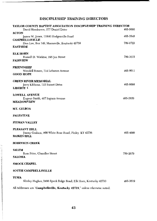# DISCIPLESHIP TRAINING DIRECTORS

| TAYLOR COUNTY BAPTIST ASSOCIATION DISCIPLESHIP TRAINING DIRECTOR           |          |
|----------------------------------------------------------------------------|----------|
| David Henderson, 277 Daniel Drive                                          | 465-5093 |
| <b>ACTON</b>                                                               |          |
| James W. Jones, 11840 Hodgenville Road                                     | 465-3548 |
| <b>CAMPBELLSVILLE</b><br>Don Lee, Box 149, Mannsville, Kentucky 42758      | 789-0723 |
| <b>EASTSIDE</b>                                                            |          |
|                                                                            |          |
| <b>ELK HORN</b>                                                            |          |
| Russell D. Watkins, 195 Jan Street                                         | 789-3615 |
| <b>FAIRVIEW</b>                                                            |          |
| <b>FRIENDSHIP</b>                                                          |          |
| Wendell Bowen, 714 Lebanon Avenue                                          | 465-8011 |
| <b>GOOD HOPE</b>                                                           |          |
|                                                                            |          |
| <b>GREEN RIVER MEMORIAL</b>                                                |          |
| Jerry Kibbons, 112 Sunset Drive                                            | 465-8098 |
| <b>LIBERTY</b> $\cdot$                                                     |          |
| <b>LOWELL AVENUE</b>                                                       |          |
| Eugene Smith, 407 Ingram Avenue                                            | 465-2820 |
| <b>MEADOWVIEW</b>                                                          |          |
| MT. GILBOA                                                                 |          |
|                                                                            |          |
| <b>PALESTINE</b>                                                           |          |
| <b>PITMAN VALLEY</b>                                                       |          |
| <b>PLEASANT HILL</b>                                                       |          |
| Jimmy Graham, 800 White Rose Road, Finley KY 42736                         | 465-4009 |
| <b>RAIKES HILL</b>                                                         |          |
| <b>ROBINSON CREEK</b>                                                      |          |
| <b>SALEM</b>                                                               |          |
| Ross Price, Chandler Street                                                | 789-2679 |
| <b>SALOMA</b>                                                              |          |
|                                                                            |          |
| <b>SMOCK CHAPEL</b>                                                        |          |
| <b>SOUTH CAMPBELLSVILLE</b>                                                |          |
| YUMA                                                                       |          |
| Shirley Hughes, 3496 Speck Ridge Road, Elk Horn, Kentucky 42733            | 465-3819 |
| All Addresses are "Campbellsville, Kentucky 49.718" unless otherwise noted |          |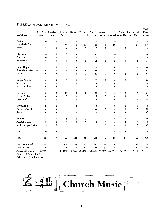## TABLE D MUSIC MINISTRY 1994

|                            |              |                                       |              |                |                |                |                |                 |                  |                                    | a Otal                |
|----------------------------|--------------|---------------------------------------|--------------|----------------|----------------|----------------|----------------|-----------------|------------------|------------------------------------|-----------------------|
|                            |              | Preschool Preschool Children Children |              |                | Youth          | Adult          | Senior         |                 | Vocal            | Instrumental                       | Music                 |
| CHURCH                     | 3 yrs.       | 4, 5                                  | $6 - 8$      | $9 - 11$       | $12 - 17$      | 18 & Older     |                |                 |                  | Adult Handbell Ensambles Ensambles | Enrollmei             |
| Action                     | $\mathbf 0$  | $\mathbf 0$                           | 0            | $\mathbf 0$    | $\mathbf 0$    | $\mathbf{z}$   | 0              | $\mathbf 0$     | $\mathbf 0$      | 0                                  | $\boldsymbol{2}$      |
| Campbellsville             | 13           | 23                                    | 51           | 84             | 45             | 80             | 0              | 69              | 4                | 21                                 | 390                   |
| Eastside                   | $\mathbf 0$  | $\mathbf{0}$                          | $\mathbf 0$  | $\mathbf 0$    | $\mathbf 0$    | $\mathbf{2}$   | $\mathbf 0$    | $\mathbf{o}$    | $\mathbf 0$      | 0                                  | $\boldsymbol{2}$      |
| Elk Horn                   | $\mathbf 0$  | 0                                     | $\mathbf 0$  | $\bf{0}$       | $\mathbf 0$    | 20             | $\mathbf 0$    | $\mathbf 0$     | 0                | 0                                  | 20                    |
| Fairview                   | 0            | $\mathbf 0$                           | 0            | $\mathbf 0$    | $\mathbf 0$    | $\mathbf{2}$   | $\mathbf 0$    | 0               | $\mathbf 0$      | 0                                  | 2                     |
| Friendship                 | 0            | 0                                     | $\mathbf{o}$ | $\bf{0}$       | 4              | 12             | $\mathbf 0$    | $\mathbf{0}$    | $\mathbf 0$      | 0                                  | 16                    |
| Good Hope                  | $\mathbf 2$  | 3                                     | 5            | 6              | $\bf{0}$       | 20             | $\bf{0}$       | $\mathbf 0$     | 0                | 0                                  | 36                    |
| Green River Memorial       | 0            | $\mathbf 0$                           | 4            | 5              | 18             | 24             | $\mathbf 0$    | $\mathbf 0$     | $\mathbf 0$      | $\bf{0}$                           | 51                    |
| Liberty                    | $\mathbf 0$  | $\bf{0}$                              | 0            | $\bf{0}$       | $\mathbf{0}$   | 21             | $\mathbf 0$    | $\bf{0}$        | $\mathbf{0}$     | 0                                  | 21                    |
| Lowell Avenue              | $\mathbf 0$  | 0                                     | 0            | $\bf{0}$       | 5              | 32             | $\mathbf 0$    | $\bf{0}$        | 3                | 0                                  | 40                    |
| Meadowview                 | $\mathbf 0$  | 0                                     | $\bf{0}$     | $\bf{0}$       | $\mathbf 0$    | 3              | $\Omega$       | $\mathbf{o}$    | 0                | 0                                  | 3                     |
| Mount Gilboa               | $\mathbf{o}$ | $\bf{0}$                              | 0            | $\bf{0}$       | $\mathbf 0$    | 15             | $\mathbf 0$    | $\bf{0}$        | $\mathbf 0$      | 0                                  | 15                    |
| Palestine                  | $\mathbf o$  | 8                                     | 10           | 15             | 7              | 20             | $\bf{0}$       | $\mathbf 0$     | 5                | $\mathbf 2$                        | 67                    |
| Pitman Valley              | $\mathbf 0$  | $\bf{0}$                              | $\mathbf 0$  | $\bf{0}$       | $\mathbf{0}$   | $\overline{2}$ | $\mathbf 0$    | $\mathbf 0$     | $\mathbf 0$      | $\bf{0}$                           | $\boldsymbol{\Omega}$ |
| Pleasant Hill              | 0            | $\bf{0}$                              | $\mathbf 0$  | $\mathbf 0$    | $\mathbf 0$    | 18             | 0              | $\bf{0}$        | 10               | 6                                  | 34                    |
| <b>Raikes Hill</b>         | 0            | $\mathbf 0$                           | 0            | $\mathbf 0$    | $\mathbf 0$    | $\mathbf 2$    | $\mathbf 0$    | $\mathbf{0}$    | $\bf{0}$         | $\bf{0}$                           | $\mathbf{\Omega}$     |
| Robinson Creek             | 0            | 0                                     | 5            | $\overline{7}$ | 6              | 30             | $\bf{0}$       | $\mathbf 0$     | $\boldsymbol{2}$ | $\bf{0}$                           | 50                    |
| Salem                      | $\Omega$     | $\bf{0}$                              | 0            | $\overline{2}$ | $\overline{2}$ | 13             | $\mathbf 0$    | $\Omega$        | $\mathbf{0}$     | $\mathbf 0$                        | 17                    |
| Saloma                     | 4            | 3                                     | 4            | 9              | 2              | 17             | $\mathbf 0$    | $\mathbf{0}$    | $\mathbf 0$      | $\mathbf{0}$                       | 39                    |
| #Smock Chapel              | 0            | $\bf{0}$                              | 0            | 0              | $\mathbf 0$    | $\mathbf 0$    | $\bf{0}$       | $\mathbf 0$     | $\mathbf{0}$     | $\bf{0}$                           | 0                     |
| South Campbellsville       | 3            | 3                                     | 4            | 6              | 3              | 21             | 0              | $\bf{0}$        | $\mathbf 0$      | 3                                  | 43                    |
| Yuma                       | 0            | $\theta$                              | 0            | $\mathbf 0$    | $\bf{0}$       | $\mathbf 0$    | $\overline{2}$ | $\mathbf{0}$    | $\mathbf{0}$     | $\bf{0}$                           | $\overline{2}$        |
| Totals                     | 22           | 40                                    | 83           | 134            | 92             | 356            | 2              | 69              | 24               | 32                                 | 854                   |
| Last Year's Totals         | 52           |                                       | 108          | 133            | 124            | 301            | 72             | 30              | 31               | 115                                | 968                   |
| Gain or Loss $(-)$         | $-30$        |                                       | $-25$        | $\mathbf{1}$   | $-32$          | 55             | $-70$          | 39              | $-7$             | $-83$                              | $-114$                |
| Percentage Change          | $-57.69%$    |                                       | $-23.15%$    | 0.75%          | $-25.81%$      | 18.27%         |                | -97.22% 130.00% | $-22.58%$        | $-72.17%$                          | $-11.789$             |
| *Mission of Campbellsville |              |                                       |              |                |                |                |                |                 |                  |                                    |                       |

 $\sim \cdot$ 

Mission of Lowell Avenue

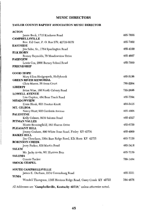# **MUSIC DIRECTORS**

## TAYLOR COUNTY BAPTIST ASSOCIATION MUSIC DIRECTOR

| <b>ACTON</b>                                                    |          |
|-----------------------------------------------------------------|----------|
| Jamie Beck, 1715 Kindness Road                                  | 465-7856 |
| <b>CAMPBELLSVILLE</b>                                           |          |
| Rev. Ed Garr, P. O. Box 279, 42719-0279                         | 465-7462 |
| <b>EASTSIDE</b>                                                 |          |
| Jim Sabo, Sr., 1784 Spurlington Road<br><b>ELK HORN</b>         | 465-4100 |
| Romey Reynolds, 79 Meadowview Drive                             | 465-4607 |
| <b>FAIRVIEW</b>                                                 |          |
| Lewis Cox, 2868 Barney School Road                              | 465-7869 |
| <b>FRIENDSHIP</b>                                               |          |
|                                                                 |          |
| <b>GOOD HOPE</b>                                                |          |
| Mary Ellen Hedgespeth, Hollybrook                               | 465-5156 |
| <b>GREEN RIVER MEMORIAL</b><br>Chris Mason, 58 Anna Court       | 789-2264 |
| <b>LIBERTY</b>                                                  |          |
| Brian Wise, 160 North Calvary Road                              | 789-2656 |
| <b>LOWELL AVENUE</b>                                            |          |
| Lisa Gupton, 484 Bear Track Road                                | 465-7394 |
| <b>MEADOWVIEW</b>                                               |          |
| Ernie Houk, 803 Proctor-Knott                                   | 465-5415 |
| MT. GILBOA                                                      |          |
| Nancy Hunt, 902 Gardenia Avenue                                 | 465-4808 |
| PALESTINE                                                       | 465-4527 |
| Kelly Calmes, 5939 Saloma Road<br>PITMAN VALLEY                 |          |
| Monte Benningfield, 363 Sharon Drive                            | 465-6759 |
| PLEASANT HILL                                                   |          |
| Jimmy Graham, 800 White Rose Road, Finley KY 42736              | 465-4009 |
| <b>RAIKES HILL</b>                                              |          |
| Jim Cheatham, 3564 Bass Ridge Road, Elk Horn KY 42733           | 465-7159 |
| <b>ROBINSON CREEK</b>                                           |          |
| Jerry Parker, 838 Martin Road                                   | 465-3418 |
| SALEM<br>Mr. Jacky Arvin, 601 Hunters Run                       | 465-7139 |
| <b>SALOMA</b>                                                   |          |
| Connie Tucker                                                   | 789-1484 |
| <b>SMOCK CHAPEL</b>                                             |          |
|                                                                 |          |
| <b>SOUTH CAMPBELLSVILLE</b>                                     |          |
| James E. Durham, 2134 Greensburg Road                           | 465-3331 |
| YUMA                                                            |          |
| Wendell Thompson, 1305 Hovious Ridge Road, Casey Creek KY 42723 | 384-4876 |
|                                                                 |          |

All Addresses are 'Campbellsville, Kentucky 42718," unless otherwise noted.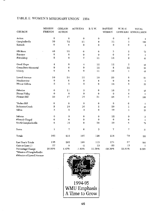# TABLE E WOMEN'S MISIONARY UNION 1994

|                          | MISSION          | <b>GIRLS IN</b> | <b>ACTEENS</b> | <b>B.Y.W.</b>    | <b>BAPTIST</b> | W.M.U.       | <b>TOTAL</b>       |
|--------------------------|------------------|-----------------|----------------|------------------|----------------|--------------|--------------------|
| <b>CHURCH</b>            | <b>FRIENDS</b>   | <b>ACTION</b>   |                |                  | <b>WOMEN</b>   |              | OFFICERS ENROLLMEN |
| Action                   | $\mathbf 0$      | $\mathbf 0$     | 0              | $\pmb{0}$        | $\bf{0}$       | $\pmb{0}$    | 0                  |
| Campbellsville           | 39               | 72              | 21             | $\pmb{0}$        | 31             | 5            | 168                |
| Eastside                 | $\bf{0}$         | $\bf{0}$        | 0              | $\mathbf 0$      | $\bf{0}$       | $\bf{0}$     | $\bf{0}$           |
| Elk Horn                 | 40               | 22              | 0              | 6                | 3              | $\mathbf{2}$ | 73                 |
| Fairview                 | $\pmb{0}$        | 0               | 0              | $\mathbf 0$      | $\bf{0}$       | Û            | 0                  |
| Friendship               | 5                | 8               | 7              | 11               | 12             | $\mathbf 2$  | 45                 |
| Good Hope                | $\boldsymbol{4}$ | 9               | 4              | 12               | 12             | 5            | 46                 |
| Green River Memorial     | 9                | 6               | $\overline{9}$ | 12               | 8              | 12           | 56                 |
| Liberty                  | 9                | 8               | 9              | $_{11}$          | 10             | $\mathbf{I}$ | 48                 |
| Lowell Avenue            | 10               | 24              | 12             | 10               | 20             | 8            | 84                 |
| Meadowview               | 0                | $\pmb{0}$       | 0              | $\pmb{0}$        | $\bf{0}$       | $\bf{0}$     | $\bf{0}$           |
| Mount Gilboa             | $\overline{5}$   | 3               | 5              | $\bf{0}$         | 14             | 6            | 33                 |
| Palestine                | 6                | 11              | 5              | $\bf{0}$         | 19             | 7            | 48                 |
| Pitman Valley            | $\mathbf 0$      | $\pmb{0}$       | $\bf{0}$       | $\mathbf 0$      | $\mathbf 0$    | 0            | 0                  |
| Pleasant Hill            | 20               | 17              | 15             | 21               | 28             | 7            | 108                |
| <sup>*</sup> Raikes Hill | 0                | $\mathbf 0$     | $\bf{0}$       | $\bf{0}$         | $\bf{0}$       | $\pmb{0}$    | 0                  |
| Robinson Creek           | 5                | $10$            | 10             | $\boldsymbol{2}$ | 20             | 1            | 48                 |
| Salem                    | 3                | 5               | 4              | $\bf{0}$         | 10             | 1            | 23                 |
| Saloma                   | 0                | 0               | 0              | 0                | 12             | 0            | 12                 |
| #Smock Chapel            | $\mathbf 0$      | $\bf{0}$        | 0              | $\mathbf 0$      | $\bf{0}$       | $\bf{0}$     | 0                  |
| South Campbellsville     | 6                | 10              | $\bf{0}$       | 38               | 10             | 6            | 70                 |
| Yuma                     | ı                | 7               | 6              | 3                | 7              | 7            | 31                 |
| Totals                   | 162              | 212             | 107            | 126              | 216            | 70           | 893                |
| Last Year's Totals       | 135              | 203             | 109            | 113              | 271            | 57           | 888                |
| Gain or Loss (-)         | 27               | 9               | $-2$           | 13               | $-55$          | 13           | 5                  |
| Percentage Change<br>    | 20.00%           | 4.43%           | $-1.83%$       | 11.50%           | $-20.30%$      | 22.81%       | 0.56%              |

*Mission of Campbellsville* 

#Mission of Lowell Avenue

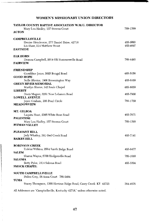## WOMEN'S MISSIONARY UNION DIRECTORS

| TAYLOR COUNTY BAPTIST ASSOCIATION W.M.U. DIRECTOR<br>Mary Lou Hadley, 157 Stevens Court<br>ACTON                            | 789-1399             |
|-----------------------------------------------------------------------------------------------------------------------------|----------------------|
| <b>CAMPBELLSVILLE</b><br>Denise Henderson, 277 Daniel Drive, 42718<br>Liz Shaw, 214 Matthew Street<br><b>EASTSIDE</b>       | 465-5093<br>465-4697 |
| <b>ELK HORN</b><br>Deanna Campbell, 2014 Old Summersville Road<br>FAIRVIEW                                                  | 789-4493             |
| <b>FRIENDSHIP</b><br>Geraldine Jones, 5025 Bengal Road<br><b>GOOD HOPE</b>                                                  | 465-5156             |
| Nelle Blevins, 1906 Brownington Way<br><b>GREEN RIVER MEMORIAL</b>                                                          | 465-6169             |
| Marilyn Shreve, 142 Soule Chapel<br>LIBERTY<br>Doris Magers, 3281 New Lebanon Road                                          | 465-8039<br>465-7900 |
| <b>LOWELL AVENUE</b><br>Joyce Graham, 106 Pearl Circle<br><b>MEADOWVIEW</b>                                                 | 789-1750             |
| MT. GILBOA<br>Laquita Hunt, 2305 White Rose Road<br><b>PALESTINE</b><br>Mary Lou Hadley, 157 Stevens Court<br>PITMAN VALLEY | 465-7671<br>789-1399 |
| <b>PLEASANT HILL</b><br>Judy Whatley, 381 Owl Creek Road<br><b>RAIKES HILL</b>                                              | 465-7141             |
| <b>ROBINSON CREEK</b><br>Eulelai Wilkins, 2564 Smith Ridge Road<br>SALEM                                                    | 465-6477             |
| Sharon Wayne, 6700 Hodgenville Road<br><b>SALOMA</b><br>Betty Pyles, 1814 Saloma Road<br><b>SMOCK CHAPEL</b>                | 789-1088<br>465-3394 |
| <b>SOUTH CAMPBELLSVILLE</b><br>Helen Gray, 28 Anna Court 789-2484                                                           |                      |
| YUMA<br>Stacey Thompson, 1305 Hovious Ridge Road, Casey Creek KY 42723                                                      | 384-4876             |
| All Addresses are "Campbellsville. Kentucky 42718." unless otherwise noted.                                                 |                      |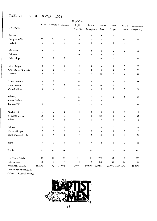#### TABLE F BROTHERHOOD 1994

|                          |             |                  |                    | rugn Senool |                     |                  |                     |                      |             |
|--------------------------|-------------|------------------|--------------------|-------------|---------------------|------------------|---------------------|----------------------|-------------|
|                          | Lads        |                  | Crusaders Pioneers | Baptist     | Baptist             | Baptist          | Mission             | Action               | Brotherhood |
| CHURCH                   |             |                  |                    | Young Men   | Young Men           | Men              | Project             | Group                | Ennrollment |
| Action                   | 0           | $\pmb{0}$        | $\mathbf 0$        | 0           | $\bf{0}$            | 0                | $\mathbf 0$         | $\boldsymbol{0}$     | 0           |
| Campbellsville           | 28          | 33               | $\mathbf 0$        | 3           | $\mathbf 0$         | $\mathbf 0$      | $\mathbf 0$         | 35                   | 99          |
| Eastside                 | $\mathbf 0$ | $\mathbf o$      | $\mathbf 0$        | 0           | $\mathbf 0$         | $\mathbf 0$      | $\theta$            | $\boldsymbol{0}$     | $\mathbf 0$ |
| Elk Horn                 | 14          | 12               | $\mathbf 0$        | 0           | $\,0$               | $\mathbf 0$      | $\mathsf{o}\xspace$ | 0                    | 26          |
| Fairview                 | 0           | $\bf 0$          | $\mathbf 0$        | 0           | $\mathbf 0$         | $\mathbf 0$      | $\circ$             | $\mathbf 0$          | $\mathbf 0$ |
| Friendship               | 5           | 2                | ı                  | ı           | 5                   | 10               | 5                   | 5                    | 34          |
| Good Hope                | 3           | 3                | $\,2\,$            | 0           | 0                   | 10               | $\overline{\bf 4}$  | 0                    | 22          |
| Green River Memorial     | 3           | $\boldsymbol{4}$ | 7                  | 5           | $\mathbf 0$         | 6                | $\mathbf 2$         | 3                    | 30          |
| Liberty                  | 6           | 5                | $\overline{2}$     | $\mathbf 0$ | $\mathbf 0$         | 12               | $\bf{0}$            | $\mathbf 0$          | 25          |
| Lowell Avenue            | $\bf{4}$    | 6                | 0                  | 0           | $\mathbf 0$         | 12               | $\tau$              | 9                    | 38          |
| Meadowview               | 0           | 0                | 0                  | 0           | 0                   | $\,0\,$          | 0                   | 0                    | 0           |
| Mount Gilboa             | 0           | $\mathbf 0$      | 4                  | 0           | 4                   | 8                | $\boldsymbol{0}$    | 5                    | 21          |
| Palestine                | $\mathbf 0$ | $\mathbf 0$      | 0                  | 2           | $\pmb{0}$           | 15               | $\mathbf 0$         | ı                    | 18          |
| Pitman Valley            | 0           | 0                | $\mathbf 0$        | $\mathbf 0$ | $\mathbf 0$         | $\mathbf 0$      | $\bf{0}$            | $\boldsymbol{0}$     | $\bf{0}$    |
| Pleasant Hill            | 5           | 5                | $\mathbf 0$        | 2           | $\mathbf 0$         | 25               | $\boldsymbol{0}$    | 0                    | 37          |
| <sup>*</sup> Raikes Hill | 0           | 0                | $\mathbf 0$        | 0           | $\,0$               | $\mathbf 0$      | $\pmb{0}$           | $\,0$                | $\mathbf 0$ |
| Robinson Creek           | 13          | 5                | 7                  | 3           | $\mathbf 0$         | 26               | $\mathbf 0$         | $\mathbf 0$          | 54          |
| Salem                    | $\,1$       | 3                | $\overline{\bf 4}$ | 0           | $\mathbf 0$         | $\mathbf 0$      | 0                   | $\mathbf 0$          | 8           |
| Saloma                   | $\mathbf 2$ | 3                | 0                  | 3           | ı                   | 10               | 0                   | $\pmb{0}$            | 19          |
| #Smock Chapel            | $\pmb{0}$   | $\boldsymbol{0}$ | $\mathbf 0$        | 0           | $\mathsf{O}\xspace$ | 0                | 0                   | $\mathbf 0$          | $\mathbf 0$ |
| South Campbellsville     | 0           | 5                | $\mathbf 0$        | 0           | 9                   | 12               | 0                   | 0                    | 26          |
| Yuma                     | $\mathbf 2$ | 3                | $\boldsymbol{4}$   | $\,2\,$     | $\mathbf 0$         | $\boldsymbol{2}$ | $\mathsf{O}\xspace$ | 0                    | 13          |
| Totals                   | 86          | 89               | 31                 | 21          | 19                  | 148              | 18                  | 58                   | 470         |
| Last Year's Totals       | 105         | 83               | 36                 | 21          | 24                  | 170              | 46                  | 5                    | 538         |
| Gain or Loss (-)         | $-19$       | 6                | $-5$               | 0           | $-5$                | $-22$            | $-28$               | 53                   | $-68$       |
| Percentage Change        | $-18.10%$   | 7.23%            | $-13.89%$          | 0.00%       | $-20.83\% -12.94\%$ |                  |                     | $-60.87\%$ 1.060.00% | $-12.64%$   |

\*Mission of Campbellsville

//Mission of Lowell Avenue

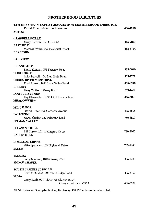## **BROTHERHOOD DIRECTORS**

| TAYLOR COUNTY BAPTIST ASSOCIATION BROTHERHOOD DIRECTOR |          |
|--------------------------------------------------------|----------|
| Darrell Hunt, 902 Gardenia Avenue                      | 465–4808 |
| <b>ACTON</b>                                           |          |
| <b>CAMPBELLSVILLE</b>                                  |          |
| Barry Bertram, P. O. Box 27                            | 465-7273 |
| <b>EASTSIDE</b>                                        |          |
| Marshall Webb, 602 East First Street                   | 465-6754 |
| ELK HORN                                               |          |
| <b>FAIRVIEW</b>                                        |          |
| <b>FRIENDSHIP</b>                                      |          |
| James Kendall, 656 Fairview Road                       | 465-5640 |
| <b>GOOD HOPE</b>                                       |          |
| Mike Russell, 164 Blue Hole Road                       | 465-7769 |
| <b>GREEN RIVER MEMORIAL</b>                            |          |
| Fred Russell, 1811 Lone Valley Road                    | 465-8240 |
| <b>LIBERTY</b>                                         |          |
| Terry Walker, Liberty Road                             | 789-1409 |
| <b>LOWELL AVENUE</b>                                   |          |
| Ray Flewwellen, 1398 Old Lebanon Road                  | 465-5097 |
| <b>MEADOWVIEW</b>                                      |          |
| MT. GILBOA                                             |          |
| Darrell Hunt, 902 Gardenia Avenue                      | 465-4808 |
| <b>PALESTINE</b>                                       |          |
| Marty Shields, 327 Palestine Road                      | 789-3293 |
| PITMAN VALLEY                                          |          |
| PLEASANT HILL                                          |          |
| Bill Carter, 101 Wellington Court                      | 789-2066 |
| <b>RAIKES HILL</b>                                     |          |
| <b>ROBINSON CREEK</b>                                  |          |
| Mike Sprowles, 183 Highland Drive                      | 789-1148 |
| SALEM                                                  |          |
| <b>SALOMA</b>                                          |          |
| Larry Marcum, 1019 Chaney Pike                         | 465-3946 |
| <b>SMOCK CHAPEL</b>                                    |          |
|                                                        |          |
| <b>SOUTH CAMPBELLSVILLE</b>                            |          |
| Keith McMahan, 293 Smith Ridge Road                    | 465-5772 |
| YUMA                                                   |          |
| Garry Bault, 904 White Oak Church Road,                |          |
| Casey Creek KY 42723                                   | 465-3921 |

All Addresses are "Campbellsville, Kentucky 42718," unless otherwise noted.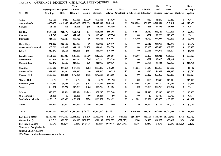## TABLE G OFFERINGS, RECEIPTS, AND LOCAL EXPENDITURES 1994

|                             |                         |           | Total                 |           |             |           |                                                      |           |          | Other     | Total                     |                  | Ratio      |
|-----------------------------|-------------------------|-----------|-----------------------|-----------|-------------|-----------|------------------------------------------------------|-----------|----------|-----------|---------------------------|------------------|------------|
|                             | Undesignated Designated |           | Tithes &              | Other     | Total       | Staff     | New                                                  | Debt      | Church   | Local     | Local                     |                  | Loc. Exp.: |
| CHURCH                      | Offerings               | Cifts     | Offerings             | Receipts  | Receipts    |           | Salaries Construction Retirement Literature Expenses |           |          |           | Expenses Baptisms Baptism |                  |            |
|                             |                         |           |                       |           |             |           |                                                      |           |          |           |                           |                  |            |
| Action                      | \$10,505                | \$383     | \$10,888              | \$3,000   | \$13,888    | \$7,490   | \$0                                                  | $\$0$     | \$530    | \$1,200   | \$9,220                   | $\boldsymbol{0}$ | N/A        |
| Campbellsville              | \$672,676               | \$413.952 | \$1,086,628           | \$260,664 | \$1,347,292 | \$240,440 | \$0                                                  | \$254,334 | \$22,833 | \$201,404 | \$719,011                 | 36               | \$19,973   |
| Eastside                    | \$8,128                 | \$83      | \$8,211               | \$75      | \$8,286     | \$4,450   | \$0                                                  | $\$0$     | \$223    | \$2,364   | \$7,037                   | 0                | N/A        |
| Elk Hom                     | \$157,581               | \$24,170  | \$181,751             | \$94      | \$181,845   | \$89,005  | \$0                                                  | \$3,873   | \$8,013  | \$18,537  | \$119,428                 | 19               | \$6,286    |
| Fairview                    | \$11,749                | \$698     | \$12,447              | \$0       | \$12,447    | \$7,655   | \$0                                                  | \$0       | \$522    | \$2,286   | \$10,463                  | $\Omega$         | N/A        |
| Friendship                  | \$41,109                | \$16,629  | \$57,738              | \$0       | \$57,738    | \$16,463  | \$0                                                  | \$3,350   | \$5,722  | \$14,961  | \$40,496                  | 12               | \$3,375    |
| Good Hope                   | \$74,402                | \$22,586  | \$96,988              | \$0       | \$96,988    | \$30,440  | \$0                                                  | \$0       | \$3,645  | \$14,988  | \$49,073                  | 6                | \$8,179    |
| Green River Memorial        | \$73,750                | \$17,362  | \$91,112              | \$3,189   | \$94,301    | \$34,376  | \$0                                                  | \$0       | \$5,306  | \$19,898  | \$59,580                  | 9                | \$6,620    |
| Liberty                     | \$40,279                | \$4,115   | \$44,394              | \$485     | \$44,879    | \$15,209  | \$0                                                  | \$0       | \$3,086  | \$17,997  | \$36,292                  | 8                | \$4,536    |
| Lowell Avenue               | \$111,652               | \$26,948  | \$138,600             | \$3,900   | \$142,500   | \$56,107  | \$0                                                  | \$6,997   | \$6,465  | \$64,941  | \$134,510                 | 4                | \$33,628   |
| Meadowview                  | \$25,481                | \$2,734   | \$28,215              | \$2,045   | \$30,260    | \$12,616  | \$0                                                  | \$0       | \$692    | \$9,013   | \$22,321                  | 0                | N/A        |
| Mount Gilboa                | \$36,279                | \$8,587   | \$44,866              | \$90      | \$44,956    | \$20,530  | \$0                                                  | \$0       | \$2,095  | \$7,344   | \$29,969                  | $\mathbf{2}$     | \$14,984   |
| Palestine                   | \$109,517               | \$23,585  | \$133,102             | \$208     | \$133,310   | \$43,239  | \$0                                                  | \$1,251   | \$4,049  | \$30,083  | \$78,622                  | 11               | \$7,147    |
| Pitman Valley               | \$17,376                | \$4,234   | \$21,610              | \$0       | \$21,610    | \$6,625   | \$0                                                  | \$0       | \$376    | \$4,317   | \$11,318                  | 3                | \$3,773    |
| Pleasant Hill               | \$139,660               | \$37,394  | \$177,054             | \$453     | \$177,507   | \$34,636  | \$0                                                  | \$0       | \$5,492  | \$50,365  | \$90,493                  | 4                | \$22,623   |
| <b>*Raikes Hill</b>         | \$124                   | \$0       | \$124                 | \$0       | \$124       | \$7,950   | \$0                                                  | \$0       | \$666    | \$5,300   | \$13,916                  |                  | \$13,916   |
| Robinson Creek              | \$102,429               | \$6,661   | \$109,090             | \$361     | \$109,451   | \$20,368  | \$0                                                  | \$14,904  | \$5,575  | \$23,190  | \$64,037                  | 18               | \$3,558    |
| Salem                       | \$68,531                | \$6,757   | \$75,288              | \$428     | \$75,716    | \$24,321  | \$0                                                  | \$0       | \$3,203  | \$34,723  | \$62,247                  | $\mathbf 0$      | N/A        |
| Saloma                      | \$26,860                | \$2,634   | \$29,494              | \$2,749   | \$32,243    | \$11,840  | \$0                                                  | \$0       | \$1,415  | \$3,245   | \$16,500                  | 5                | \$3,300    |
| #Smock Chapel               | \$1,226                 | \$0       | \$1,226               | \$0       | \$1,226     | \$0       | \$0                                                  | \$0       | \$0      | \$2,739   | \$2,739                   | $\boldsymbol{0}$ | N/A        |
| South Campbellsville        | \$150,113               | \$13,338  | \$163,451             | \$170     | \$163,621   | \$64,411  | \$0                                                  | \$11,881  | \$6,339  | \$75,435  | \$158,066                 | 10               | \$15,807   |
| Yuma                        | \$19,832                | \$3,590   | \$23,422              | \$1,460   | \$24,882    | \$7.800   | \$0                                                  | \$0       | \$1,539  | \$5,764   | \$15,103                  | 4                | \$3,776    |
| Totals                      | \$1,899,259             |           | \$636,440 \$2,535,699 | \$279,371 | \$2,815,070 | \$755,971 | \$0                                                  | \$296,590 | \$87,786 |           | \$610,094 \$1,750,441     | \$152            | \$11,516   |
| Last Year's Totals          | \$1,880,543             | \$570,660 | \$2,451,203           | \$72,670  | \$2,523,873 | \$75,000  | \$737,313                                            | \$295,860 | \$83,198 |           | \$595,867 \$1,715,084     | \$160            | \$10,719   |
| Gain or Loss (-)            | \$18,716                | \$65,780  | \$84,496              | \$206,701 | \$291,197   | \$680,971 | $(\$737,313)$                                        | \$730     | \$4,588  | \$14,227  | \$35,357                  | (38)             | \$797      |
| Percentage Change           | 1.00%                   | 11.53%    | 3.45%                 | 284.44%   | 11.54%      | 907.96%   | $(100.00\%)$                                         | $0.25\%$  | 5.51%    | 2.39%     | 2.06%                     | $(5.00\%)$       | 7.43%      |
| Mission of Campbellsville." |                         |           |                       |           |             |           |                                                      |           |          |           |                           |                  |            |

 $\sim$ 

#Mission of Lowell Avenue

N/A These churches have no comparison factors.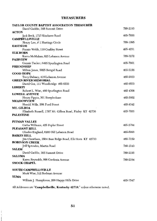## **TREASURERS**

| TAYLOR COUNTY BAPTIST ASSOCIATION TREASURER                  |          |
|--------------------------------------------------------------|----------|
| David Gaddie, 305 Summit Drive                               | 789-2193 |
| <b>ACTON</b>                                                 |          |
| Jack Beck, 1715 Kindness Road                                | 465-7856 |
| <b>CAMPBELLSVILLE</b>                                        |          |
| Henry Lee, # 1 Hastings Circle                               | 789-1095 |
| <b>EASTSIDE</b>                                              |          |
| Fannie Webb, 110 Coakley Street                              | 465-4231 |
| <b>ELK HORN</b>                                              |          |
| Karen McMahan, 625 Lebanon Avenue                            | 789-3272 |
| <b>FAIRVIEW</b>                                              |          |
| Connie Tucker, 6495 Spurlington Road                         | 465-7901 |
| <b>FRIENDSHIP</b>                                            |          |
| Milton Jones, 5025 Bengal Road                               | 465-5156 |
| <b>GOOD HOPE</b>                                             |          |
| Terry Dabney, 418 Lebanon Avenue                             | 465-2933 |
| <b>GREEN RIVER MEMORIAL</b>                                  | 465-6533 |
| David Cox, 111 Woodbridge 465-6533                           |          |
| <b>LIBERTY</b>                                               | 465-4366 |
| Robert L. Wise, 460 Spurlington Road<br><b>LOWELL AVENUE</b> |          |
| Henry Pippin, 301 Steeplechase                               | 465-3952 |
| <b>MEADOWVIEW</b>                                            |          |
| Harold Mills, 208 Ford Street                                | 465-8342 |
| MT. GILBOA                                                   |          |
| Elizabeth Russell, 1787 Mt. Gilboa Road, Finley KY 42736     | 465-7035 |
| <b>PALESTINE</b>                                             |          |
|                                                              |          |
| PITMAN VALLEY                                                |          |
| Gatha Williams, 425 Poplar Street                            | 465-2784 |
| <b>PLEASANT HILL</b>                                         |          |
| Charles England, 6205 Old Lebanon Road                       | 465-5993 |
| <b>RAIKES HILL</b>                                           |          |
| Jim Cheatham, 3564 Bass Ridge Road, Elk Horn KY 42733        | 465-7159 |
| <b>ROBINSON CREEK</b>                                        |          |
| Jeff Sprowles, Martin Road                                   | 789-1143 |
| <b>SALEM</b>                                                 |          |
| David Gaddie, 305 Summit Drive                               | 789-2193 |
| <b>SALOMA</b>                                                |          |
| Karen Reynolds, 906 Gardenia Avenue                          | 789-2164 |
| <b>SMOCK CHAPEL</b>                                          |          |
|                                                              |          |
| <b>SOUTH CAMPBELLSVILLE</b>                                  |          |
| Mark Wise, 512 Redman Avenue                                 |          |
| YUMA                                                         |          |
| William J. Humphress, 209 Happy Hills Drive                  | 465-7547 |
|                                                              |          |

All Addresses are "Campbellsville, Kentucky 42718," unless otherwise noted.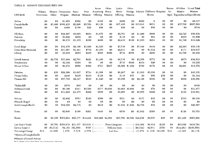#### TABLE H MISSION EXPENDITURES 1994

|                            |             |           |                             |                    |          | Annie                                  | Other         | Lottie                    | Other           |                                   |                                      |               | Homes | All Other | Grand Total                    |
|----------------------------|-------------|-----------|-----------------------------|--------------------|----------|----------------------------------------|---------------|---------------------------|-----------------|-----------------------------------|--------------------------------------|---------------|-------|-----------|--------------------------------|
|                            | Mission     |           | Mission Cooperative Assoc.  |                    | State    | Armstrong                              | Home          | Moon                      |                 |                                   | Foreign Schools Children's Hospitals |               | for   | Mission   | Mission                        |
| <b>CHURCH</b>              | New Const.  | Other     | Program                     | Missions           | Missions | Offering Missions                      |               | Offering                  | Missions        |                                   | Homes                                |               |       |           | Aged Expenditures Expenditures |
|                            |             |           |                             |                    |          |                                        |               |                           |                 |                                   |                                      |               |       |           |                                |
| Action                     | \$0         | \$0       | \$1,255                     | \$302              | \$0      | \$160                                  | \$0           | \$200                     | \$0             | \$200                             | $\bf{0}$                             | \$0           | \$0   | \$0       | \$2,117                        |
| Campbellsville             | \$0         | \$5,400   | \$166,435                   | \$5,200            | \$2,766  | \$6,129                                | \$0           | \$17,485                  | \$0             | \$15.641                          | \$851                                | \$0           | \$0   | \$37,702  | \$257,609                      |
| Eastside                   | \$0         | \$0       | \$400                       | \$166              | \$20     | \$50                                   | \$0           | \$30                      | \$0             | \$0                               | \$50                                 | \$0           | \$0   | \$0       | \$716                          |
| Elk Horn                   | \$0         | \$0       | \$22,307                    | \$3,865            | \$664    | \$1,676                                | 80            | \$2,791                   | \$0             | \$1,200                           | \$808                                | \$0           | \$0   | \$2,725   | \$36,036                       |
| Fairview                   | \$0         | \$0       | \$1,022                     | \$235              | \$0      | \$0                                    | \$0           | \$118                     | \$0             | \$0                               | \$84                                 | \$0           | \$0   | \$399     | \$1,858                        |
| Friendship                 | \$0         | \$0       | \$8,278                     | \$1,433            | \$200    | \$408                                  | \$0           | \$2,616                   | \$100           | \$1,633                           | \$261                                | \$0           | \$0   | \$1,700   | \$16,629                       |
|                            |             |           |                             |                    |          |                                        |               |                           |                 |                                   |                                      |               |       |           |                                |
| Good Hope                  | \$0         | \$0       | \$19,470                    | \$2,160            | \$1,006  | \$1,633                                | \$0           | \$3,716                   | \$0             | \$7,440                           | \$410                                | \$0           | \$0   | \$2,303   | \$38,138                       |
| Green River Memorial       | \$0         | \$0       | \$11,887                    | \$1,481            | \$772    | \$1,103                                | \$0           | \$2,911                   | \$0             | \$0                               | \$1,512                              | \$0           | \$0   | \$171     | \$19,837                       |
| Liberty                    | \$0         | \$0       | \$3,933                     | \$983              | \$433    | \$583                                  | \$200         | \$742                     | \$578           | \$0                               | \$266                                | \$0           | \$0   | \$1,730   | \$9,448                        |
|                            |             |           |                             |                    |          |                                        |               |                           |                 |                                   |                                      |               |       |           |                                |
| Lowell Avenue              | \$0         | \$2,739   | \$17,864                    | \$2,791            | \$921    | \$1,188                                | \$0           | \$4,716                   | \$0             | \$3,350                           | \$371                                | \$0           | \$0   | \$873     | \$34,813                       |
| Meadowview                 | \$0         | \$0       | \$2,548                     | \$386              | \$0      | \$0                                    | \$0           | \$715                     | \$600           | \$934                             | \$20                                 | \$0           | \$0   | \$0       | \$5,203                        |
| Mount Gilboa               | \$0         | \$0       | \$5,472                     | \$800              | \$382    | \$751                                  | \$227         |                           | \$2,500 \$1,282 | \$700                             | \$170                                | \$0           | \$0   | \$2,291   | \$14,575                       |
| Palestine                  | \$0         | \$50      | \$28,308                    | \$1,097            | \$734    | \$1,568                                | \$0           | \$6,267                   | \$0             | \$1,995                           | \$3,336                              | \$0           | \$0   | \$0       | \$43,355                       |
| Pitman Valley              | \$0         | \$0       | \$240                       | \$240              | \$233    | \$128                                  | \$0           | \$116                     | \$57            | \$0                               | \$80                                 | \$50          | \$0   | \$0       | \$1,144                        |
| Pleasant Hill              | \$0         | \$0       | \$37,783                    | \$2,547            | \$833    | \$1,640                                | \$0           | \$3,998                   | \$0             | \$2,100                           | \$205                                | \$0           | \$0   | \$960     | \$50,066                       |
|                            |             |           |                             |                    |          |                                        |               |                           |                 |                                   |                                      |               |       |           |                                |
| *Raikes Hill               | \$0         | \$0       | \$370                       | \$60               | \$0      | \$0                                    | \$0           | \$0                       | \$0             | \$0                               | \$0                                  | \$0           | \$0   | \$0       | \$430                          |
| Robinson Creek             | \$0         | \$0       | \$6,100                     | \$461              | \$4,566  |                                        | \$577 \$4,066 |                           | \$2,063 \$4,066 | \$0                               | \$78                                 | \$0           | \$0   | \$0       | \$21,977                       |
| Salem                      | \$0         | \$0       | \$11,299                    | \$1,473            | \$262    | \$650                                  | \$0           | \$2,699                   | \$0             | \$2,060                           | \$225                                | \$0           | \$0   | \$133     | \$18,801                       |
| Salonia                    | \$0         | \$0       | \$3,692                     | \$761              | \$345    | \$300                                  | \$0           | \$521                     | \$0             | \$137                             | \$25                                 | \$0           | $\$0$ | \$345     | \$6,126                        |
| #Smock Chapel              |             | \$0       |                             | \$0                | \$0      | \$0                                    |               | \$0                       | \$0             | \$0                               | \$0                                  | \$0           | \$0   | \$0       | \$0                            |
|                            | \$0         |           | \$0                         |                    |          |                                        | \$0           |                           |                 |                                   | \$35                                 | \$0           | $\$0$ |           |                                |
| South Campbellsville       | \$0         | \$0       | \$12,353                    | \$2,576            | \$0      | \$210                                  | \$0           |                           | \$1.032 \$1,655 | \$2,736                           |                                      |               |       | \$0       | \$20,597                       |
| Yuma                       | \$0         | $\$0$     | \$2,048                     | \$160              | \$281    | \$448                                  | \$0           | \$530                     | \$0             | \$1,892                           | \$268                                | \$0           | \$0   | \$126     | \$5,753                        |
| Totals                     | \$0         | \$8,189   | \$363,064 \$29,177 \$14,418 |                    |          | \$19,202 \$4,493                       |               | \$55,766 \$8,338 \$42,018 |                 |                                   | \$9,055                              | \$50          | \$0   | \$51,458  | \$605,228                      |
| Last Year's Totals         | \$0         |           | \$9,701 \$358,879           |                    |          | $$31,477$ $$13,631$ ( These Categories |               |                           |                 | $\cdots$ $\cdots$ $\ast$ \$48,560 | \$6,414                              | \$120         | \$0   | \$63,859  | \$853,794                      |
| Gain or Loss (-)           | \$0         | (\$1,512) |                             | $$4,185$ (\$2,300) |          | $$787$ (--------                       |               | Different from            |                 | $---)$ (\$6,542)                  | \$2,641                              | (\$70)        | \$0   | \$12,401  | $(*248,566)$                   |
| Percentage Change          | $N/\Lambda$ | $-15.59%$ | 1.17%                       | $-7.31%$           |          | $5.77\%$ ( - - - - - - - -             |               | Last Year.                |                 | $---$ -13.47%                     |                                      | 41.18% 58.33% | N/A   | $-19.42%$ | $-29.11%$                      |
|                            |             |           |                             |                    |          |                                        |               |                           |                 |                                   |                                      |               |       |           |                                |
| *Mission of Campbellsville |             |           |                             |                    |          |                                        |               |                           |                 |                                   |                                      |               |       |           |                                |

#Mission of Lowell Avenue

 $\sim 100$ 

N/A These churches have no comparison factors.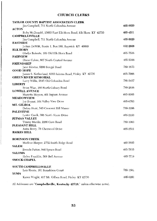# **CHURCH CLERKS**

| <b>TAYLOR COUNTY BAPTIST ASSOCIATION CLERK</b>             |          |
|------------------------------------------------------------|----------|
| Jim Campbell, 711 North Columbia Avenue                    | 465-8820 |
| <b>ACTON</b>                                               |          |
| Ruby McDonald, 13053 East Elk Horn Road, Elk Horn KY 42733 | 465-4531 |
| <b>CAMPBELLSVILLE</b>                                      |          |
| Jim Campbell, 711 North Columbia Avenue                    | 465-8820 |
| <b>EASTSIDE</b>                                            |          |
| JoAnn DeWitt, Route 1, Box 180, Raywick KY 40060           | 692-2608 |
| <b>ELK HORN</b>                                            |          |
| Gladys Roberts, 109 Old Elk Horn Road                      | 465-7536 |
| <b>FAIRVIEW</b>                                            |          |
| Diane Colvin, 807 North Central Avenue                     | 465-5388 |
| <b>FRIENDSHIP</b>                                          | 789-1673 |
| Jane Blevins, 5200 Bengal Road<br><b>GOOD HOPE</b>         |          |
| James S. Netherland, 8365 Saloma Road, Finley KY 42736     | 465-7006 |
| <b>GREEN RIVER MEMORIAL</b>                                |          |
| Larry Willis, 2645 Old Columbia Road                       | 789-2457 |
| LIBERTY                                                    |          |
| Brian Wise, 160 North Calvary Road                         | 789-2656 |
| <b>LOWELL AVENUE</b>                                       |          |
| Marietta Moyers, 401 Ingram Avenue                         | 465-8505 |
| <b>MEADOWVIEW</b>                                          |          |
| Joy Bryant, 104 Valley View Drive                          | 465-6703 |
| MT. GILBOA                                                 |          |
| Debra Hunt, 545 Crescent Hill Manor                        | 789-3206 |
| <b>PALESTINE</b>                                           |          |
| Lester Caulk, 306 North Shore Drive                        | 465-2153 |
| PITMAN VALLEY                                              |          |
| Timmy Mardis, 2286 Cave Road                               | 789-1963 |
| PLEASANT HILL                                              |          |
| Anita Berry, 78 Cherwood Drive                             | 465-2511 |
| <b>RAIKES HILL</b>                                         |          |
|                                                            |          |
| <b>ROBINSON CREEK</b>                                      |          |
| Marlene Harper, 2752 Smith Ridge Road                      | 465-3685 |
| <b>SALEM</b>                                               |          |
| Brenda Patton, 940 Spears Road                             | 465-7835 |
| <b>SALOMA</b>                                              |          |
| Helen Franklin, 508 Bell Avenue                            | 465-7719 |
| <b>SMOCK CHAPEL</b>                                        |          |
| <b>SOUTH CAMPBELLSVILLE</b>                                |          |
| Lois Harris, 101 Ronaldson Court                           | 789-1561 |
| YUMA                                                       |          |
| Karen Wright, 417 Mt. Gilboa Road, Finley KY 42736         | 465-6281 |
|                                                            |          |

All Addresses are "Campbellsville, Kentucky 42718," unless otherwise noted.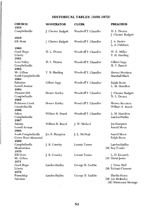# HISTORICAL TABLES (1958-1972)

| <b>CHURCH</b><br>1958                                | <b>MODERATOR</b>   | <b>CLERK</b>         | <b>PREACHER</b>                                            |
|------------------------------------------------------|--------------------|----------------------|------------------------------------------------------------|
| Campbellsville                                       | J. Chester Badgett | Woodruff T. Chandler | D. L. Druien<br>J. Chester Badgett                         |
| 1959<br>Elk Horn                                     | J. Chester Badgett | Woodruff T. Chandler | J. A. Parker<br>L. A. Fishburn                             |
| 1960<br>Good Hope<br>Liberty                         | D. L. Druien       | Woodruff T. Chandler | W. E. Miller<br>T. H. Harding                              |
| 1961<br>Lone Valley<br>Campbellsville                | D. L. Druien       | Woodruff T. Chandler | Gilbert Sapp<br>H. T. Parrott                              |
| 1962<br>Mt. Gilboa<br>South Campbellsville           | T. H. Harding      | Woodruff T. Chandler | Harvey Morrison<br>Marshall Black                          |
| 1963<br>Palestine<br>Lowell Avenue                   | Gilbert Sapp       | Woodruff T. Chandler | Ralph Boots<br>L. M. Hamilton                              |
| 1964<br>Pleasant Hill<br>Campbellsville              | Homer Kirtley      | Woodruff T. Chandler | J. Chester Badgett<br>D. L. Druien                         |
| 1965<br>Robinson Creek<br>Campbellsville             | Homer Kirtley      | Woodruff T. Chandler | Harvey Morrison<br>William R. Beard                        |
| 1966<br>Salem<br>Campbellsville                      | William R. Beard   | Woodruff T. Chandler | L. M. Hamilton<br>Landon Hadley                            |
| 1967<br>Saloma<br>Lowell Avenue                      | William R. Beard   | J. W. Mallard        | Joe Hampton<br>Arnold Moon                                 |
| 1968<br>South Campbellsville<br>Green River Memorial | Joe R. Hampton     | J. L. McNeal         | Arnold Moon<br>Ralph Boots                                 |
| 1969<br>Campbellsville<br>Meadowview                 | J. B. Crawley      | Lonnie Turner        | Landon Hadley<br>(M) Roy Fowler                            |
| 1970<br>Elk Horn<br>Mt. Gilboa                       | J. B. Crawley      | Lonnie Turner        | L. D. Kennedy<br>(M) David Jester                          |
| 1971<br>Good Hope<br>Liberty                         | Landon Hadley      | George R. Gaddie     | J. Gene Hall<br>(M) Richard Clement                        |
| 1972<br>Friendship<br>Palestine                      | Landon Hadley      | George R. Gaddie     | Hardin Hosey<br>(M) Jim McKinley<br>(M) Missionary Message |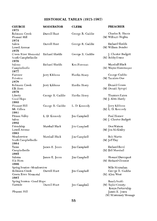# HISTORICAL TABLES (1973-1987)

| <b>CHURCH</b><br>1973                                                                | <b>MODERATOR</b> | <b>CLERK</b>        | <b>PREACHER</b>                                        |
|--------------------------------------------------------------------------------------|------------------|---------------------|--------------------------------------------------------|
| Robinson Creek<br>Pleasant Hill                                                      | Darrell Hunt     | George R. Gaddie    | Charles R. Harris<br>(M) Wilburn Hoglen                |
| 1974<br>Salem<br>Lowell Avenue                                                       | Darrell Hunt     | George R. Gaddie    | Richard Shields<br>(M) William Bender                  |
| 1975<br>Green River Memorial<br>South Campbellsville                                 | Richard Shields  | George R. Gaddie    | J. Chester Badgett<br>(M) Bobby Evans                  |
| 1976<br>Saloma<br>Campbellsville                                                     | Richard Shields  | Ken Foreman         | Marshall Black<br>(M) Wayne Hassenmyer                 |
| 1977<br>Fairview<br>Palestine<br>1978                                                | Jerry Kibbons    | Hardin Hosey        | George Gaddie<br>(M) Tacahiro Oue                      |
| Robinson Creek<br>Elk Horn<br>1979                                                   | Jerry Kibbons    | Hardin Hosey        | Donald Gowin<br>(M) Donald Spiegel                     |
| Liberty<br>Good Hope<br>1980                                                         | George R. Gaddie | Hardin Hosey        | Thurmon Eaton<br>(M) J. Alvin Hardy                    |
| Pleasant Hill<br>Mt. Gilboa<br>1981                                                  | George R. Gaddie | L. D. Kennedy       | Jerry Kibbons<br>(M) L. D. Kennedy                     |
| Pitman Valley<br>Salem<br>1982                                                       | L. D. Kennedy    | Jim Campbell        | Paul Horner<br>(M) J. Chester Badgett                  |
| Friendship<br>Lowell Avenue<br>1983                                                  | Marshall Black   | Jim Campbell        | Don Watson<br>(M) Jim McKinley                         |
| Meadowview<br>South Campbellsville                                                   | Marshall Black   | <b>Jim Campbell</b> | Bob Martin<br>$(M)$ [eff Day                           |
| 1984<br>Yuma<br>Campbellsville                                                       | James E. Jones   | Jim Campbell        | Richard Reed<br>(M) Bill Marshall                      |
| 1985<br>Saloma<br>Elk Horn                                                           | James E. Jones   | Jim Campbell        | Howard Davenport<br>(M) Richard Clement                |
| 1986<br>Spring Session--Meadowview<br>Robinson Creek<br>Green River Memorial<br>1987 | Darrell Hunt     | Jim Campbell        | Mike Moynahan<br>George R. Gaddie<br>(M) Allen West    |
| Spring Session--Good Hope<br>Eastside                                                | Darrell Hunt     | Jim Campbell        | Randy Smith<br>(M) Taylor County-<br>Kenya Partnership |
| Pleasant Hill                                                                        |                  |                     | James E. Jones<br>(M) Missionary Message               |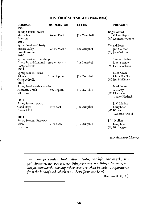## HISTORICAL TABLES (1988-1994)

| <b>CHURCH</b><br>1988                                                                      | <b>MODERATOR</b> | <b>CLERK</b>        | <b>PREACHER</b>                                              |
|--------------------------------------------------------------------------------------------|------------------|---------------------|--------------------------------------------------------------|
| Spring Session-Salem<br>Mt. Gilboa<br>Palestine<br>1989                                    | Darrell Hunt     | Jim Campbell        | Roger Alford<br>Gilbert Sapp<br>(M) Kenneth Winters          |
| Spring Session--Liberty<br>Pitman Valley<br>Lowell Avenue<br>1990                          | Bob E. Martin    | Jim Campbell        | Donald Berry<br>Jim Collison<br>(M) John Wilson              |
| Spring Session--Friendship<br>Green River Memorial Bob E. Martin<br>Campbellsville<br>1991 |                  | Jim Campbell        | Landon Hadley<br>J. W. Farmer<br>(M) Calvin Wilkins          |
| Spring Session--Yuma<br>Saloma<br>Campbellsville<br>1992                                   | Tom Gupton       | Iim Campbell        | Mike Crain<br>Chris Mueller<br>(M) Jim McKinley              |
| Spring Session--Meadowview                                                                 |                  |                     | Mark Jones                                                   |
| Robinson Creek<br>Elk Horn                                                                 | Tom Gupton       | <b>Jim Campbell</b> | Al Hardy<br>(M) Charles and<br>Carrie Hedrick                |
| 1993<br>Spring Session--Acton<br>Good Hope<br>Pleasant Hill                                | Larry Koch       | Im Campbell         | J. V. Mullen<br>Larry Koch<br>(M) Bill and<br>LaVerne Arnold |
| 1994<br>Spring Session--Fairview<br>Salem<br>Palestine                                     | Larry Koch       | <b>Jim Campbell</b> | J. V. Mullen<br>Larry Koch<br>(M) Bill Jaggers               |

(M) Missionary Message

For I am persuaded, that neither death, nor life, nor angels, nor principalities, nor powers, nor things present, nor things to come, nor height, nor depth, nor any other creature, shall be able to separate us from the love of God, which is in Christ Jesus our Lord.

(Romans 9:38, 39)